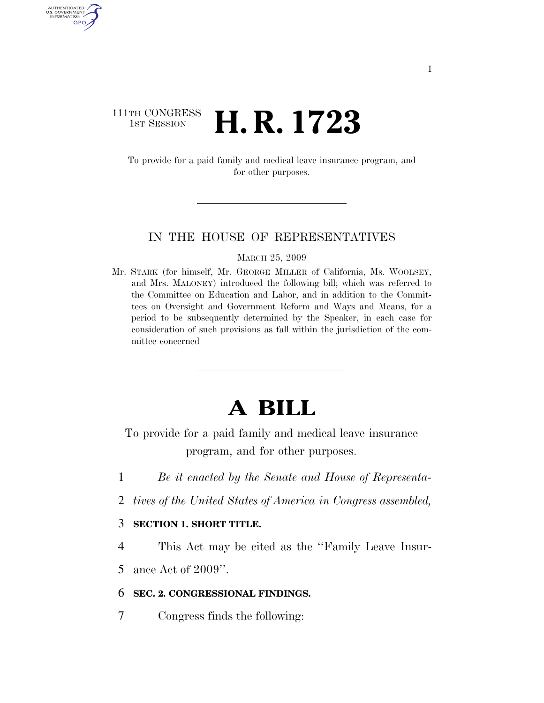### 111TH CONGRESS <sup>TH CONGRESS</sup> **H. R. 1723**

AUTHENTICATED<br>U.S. GOVERNMENT<br>INFORMATION GPO

> To provide for a paid family and medical leave insurance program, and for other purposes.

#### IN THE HOUSE OF REPRESENTATIVES

#### MARCH 25, 2009

Mr. STARK (for himself, Mr. GEORGE MILLER of California, Ms. WOOLSEY, and Mrs. MALONEY) introduced the following bill; which was referred to the Committee on Education and Labor, and in addition to the Committees on Oversight and Government Reform and Ways and Means, for a period to be subsequently determined by the Speaker, in each case for consideration of such provisions as fall within the jurisdiction of the committee concerned

# **A BILL**

To provide for a paid family and medical leave insurance program, and for other purposes.

- 1 *Be it enacted by the Senate and House of Representa-*
- 2 *tives of the United States of America in Congress assembled,*

#### 3 **SECTION 1. SHORT TITLE.**

4 This Act may be cited as the ''Family Leave Insur-

5 ance Act of 2009''.

#### 6 **SEC. 2. CONGRESSIONAL FINDINGS.**

7 Congress finds the following: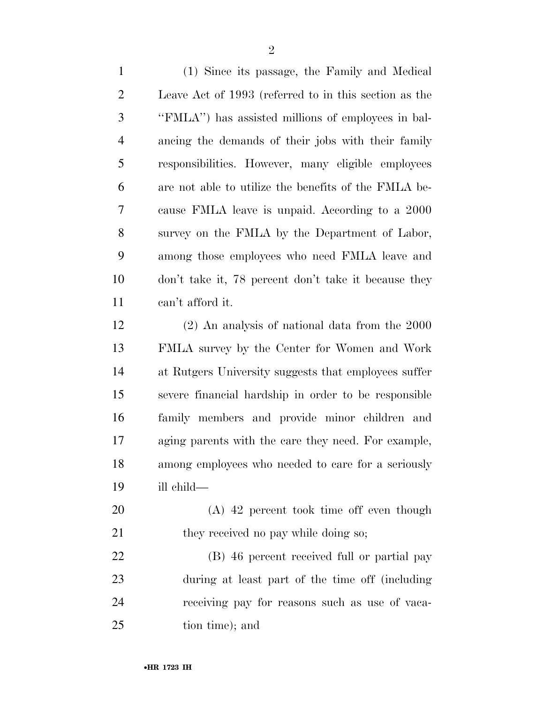(1) Since its passage, the Family and Medical Leave Act of 1993 (referred to in this section as the ''FMLA'') has assisted millions of employees in bal- ancing the demands of their jobs with their family responsibilities. However, many eligible employees are not able to utilize the benefits of the FMLA be- cause FMLA leave is unpaid. According to a 2000 survey on the FMLA by the Department of Labor, among those employees who need FMLA leave and don't take it, 78 percent don't take it because they can't afford it.

 (2) An analysis of national data from the 2000 FMLA survey by the Center for Women and Work at Rutgers University suggests that employees suffer severe financial hardship in order to be responsible family members and provide minor children and aging parents with the care they need. For example, among employees who needed to care for a seriously ill child—

 (A) 42 percent took time off even though 21 they received no pay while doing so;

 (B) 46 percent received full or partial pay during at least part of the time off (including receiving pay for reasons such as use of vaca-tion time); and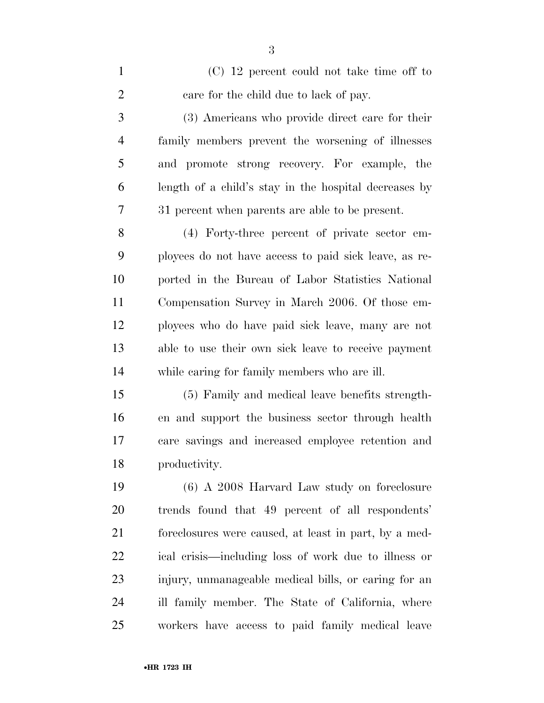(C) 12 percent could not take time off to care for the child due to lack of pay. (3) Americans who provide direct care for their family members prevent the worsening of illnesses and promote strong recovery. For example, the length of a child's stay in the hospital decreases by 31 percent when parents are able to be present. (4) Forty-three percent of private sector em- ployees do not have access to paid sick leave, as re- ported in the Bureau of Labor Statistics National Compensation Survey in March 2006. Of those em- ployees who do have paid sick leave, many are not able to use their own sick leave to receive payment while caring for family members who are ill. (5) Family and medical leave benefits strength- en and support the business sector through health care savings and increased employee retention and productivity. (6) A 2008 Harvard Law study on foreclosure trends found that 49 percent of all respondents' foreclosures were caused, at least in part, by a med- ical crisis—including loss of work due to illness or injury, unmanageable medical bills, or caring for an ill family member. The State of California, where workers have access to paid family medical leave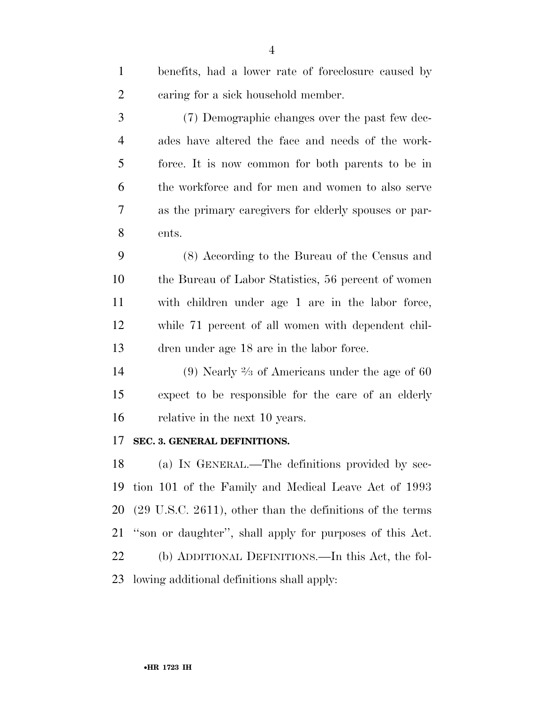| $\mathbf{1}$   | benefits, had a lower rate of foreclosure caused by                   |
|----------------|-----------------------------------------------------------------------|
| $\overline{2}$ | caring for a sick household member.                                   |
| 3              | (7) Demographic changes over the past few dec-                        |
| $\overline{4}$ | ades have altered the face and needs of the work-                     |
| 5              | force. It is now common for both parents to be in                     |
| 6              | the workforce and for men and women to also serve                     |
| 7              | as the primary caregivers for elderly spouses or par-                 |
| 8              | ents.                                                                 |
| 9              | (8) According to the Bureau of the Census and                         |
| 10             | the Bureau of Labor Statistics, 56 percent of women                   |
| 11             | with children under age 1 are in the labor force,                     |
| 12             | while 71 percent of all women with dependent chil-                    |
| 13             | dren under age 18 are in the labor force.                             |
| 14             | (9) Nearly $\frac{2}{3}$ of Americans under the age of 60             |
| 15             | expect to be responsible for the care of an elderly                   |
| 16             | relative in the next 10 years.                                        |
| 17             | SEC. 3. GENERAL DEFINITIONS.                                          |
| 18             | (a) IN GENERAL.—The definitions provided by sec-                      |
| 19             | tion 101 of the Family and Medical Leave Act of 1993                  |
| 20             | $(29 \text{ U.S.C. } 2611)$ , other than the definitions of the terms |
| 21             | "son or daughter", shall apply for purposes of this Act.              |
| 22             | (b) ADDITIONAL DEFINITIONS.—In this Act, the fol-                     |
|                |                                                                       |

lowing additional definitions shall apply: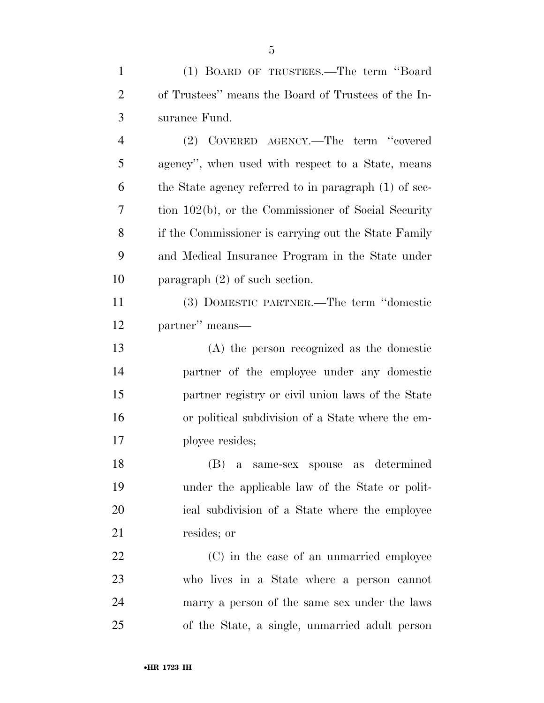| $\mathbf{1}$   | (1) BOARD OF TRUSTEES.—The term "Board                |
|----------------|-------------------------------------------------------|
| $\overline{2}$ | of Trustees" means the Board of Trustees of the In-   |
| 3              | surance Fund.                                         |
| $\overline{4}$ | (2) COVERED AGENCY.—The term "covered                 |
| 5              | agency", when used with respect to a State, means     |
| 6              | the State agency referred to in paragraph (1) of sec- |
| 7              | tion 102(b), or the Commissioner of Social Security   |
| 8              | if the Commissioner is carrying out the State Family  |
| 9              | and Medical Insurance Program in the State under      |
| 10             | paragraph $(2)$ of such section.                      |
| 11             | (3) DOMESTIC PARTNER.—The term "domestic              |
| 12             | partner" means—                                       |
| 13             | (A) the person recognized as the domestic             |
| 14             | partner of the employee under any domestic            |
| 15             | partner registry or civil union laws of the State     |
| 16             | or political subdivision of a State where the em-     |
| 17             | ployee resides;                                       |
| 18             | (B) a same-sex spouse as determined                   |
| 19             | under the applicable law of the State or polit-       |
| <b>20</b>      | ical subdivision of a State where the employee        |
| 21             | resides; or                                           |
| 22             | (C) in the case of an unmarried employee              |
| 23             | who lives in a State where a person cannot            |
| 24             | marry a person of the same sex under the laws         |
| 25             | of the State, a single, unmarried adult person        |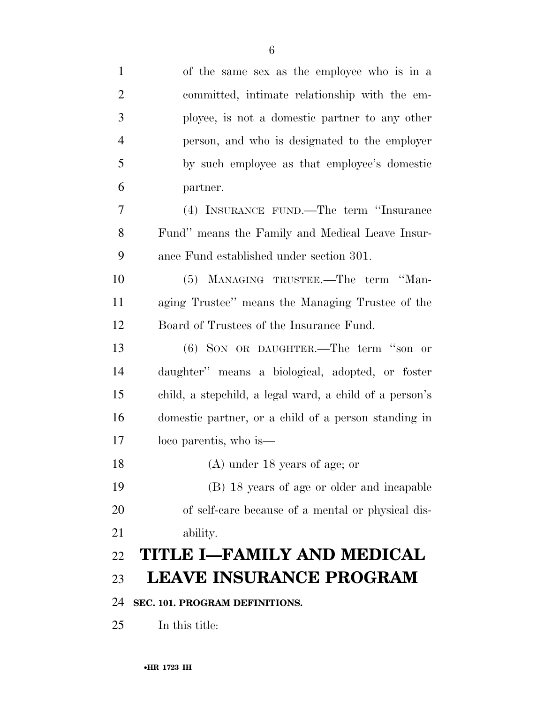| $\mathbf{1}$   | of the same sex as the employee who is in a             |
|----------------|---------------------------------------------------------|
| $\overline{2}$ | committed, intimate relationship with the em-           |
| 3              | ployee, is not a domestic partner to any other          |
| $\overline{4}$ | person, and who is designated to the employer           |
| 5              | by such employee as that employee's domestic            |
| 6              | partner.                                                |
| $\tau$         | (4) INSURANCE FUND.—The term "Insurance                 |
| 8              | Fund" means the Family and Medical Leave Insur-         |
| 9              | ance Fund established under section 301.                |
| 10             | (5) MANAGING TRUSTEE.—The term "Man-                    |
| 11             | aging Trustee" means the Managing Trustee of the        |
| 12             | Board of Trustees of the Insurance Fund.                |
| 13             | $(6)$ SON OR DAUGHTER.—The term "son or                 |
| 14             | daughter" means a biological, adopted, or foster        |
| 15             | child, a stepchild, a legal ward, a child of a person's |
| 16             | domestic partner, or a child of a person standing in    |
| 17             | loco parentis, who is—                                  |
| 18             | (A) under 18 years of age; or                           |
| 19             | (B) 18 years of age or older and incapable              |
| 20             | of self-care because of a mental or physical dis-       |
| 21             | ability.                                                |
| 22             | TITLE I—FAMILY AND MEDICAL                              |
| 23             | <b>LEAVE INSURANCE PROGRAM</b>                          |
| 24             | SEC. 101. PROGRAM DEFINITIONS.                          |
| 25             | In this title:                                          |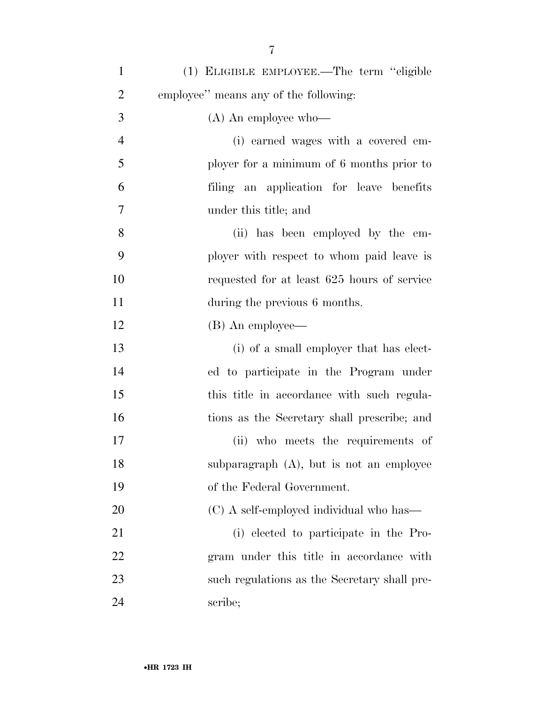| $\mathbf{1}$   | (1) ELIGIBLE EMPLOYEE.—The term "eligible    |
|----------------|----------------------------------------------|
| $\overline{2}$ | employee" means any of the following:        |
| 3              | $(A)$ An employee who—                       |
| $\overline{4}$ | (i) earned wages with a covered em-          |
| 5              | ployer for a minimum of 6 months prior to    |
| 6              | filing an application for leave benefits     |
| 7              | under this title; and                        |
| 8              | (ii) has been employed by the em-            |
| 9              | ployer with respect to whom paid leave is    |
| 10             | requested for at least 625 hours of service  |
| 11             | during the previous 6 months.                |
| 12             | (B) An employee—                             |
| 13             | (i) of a small employer that has elect-      |
| 14             | ed to participate in the Program under       |
| 15             | this title in accordance with such regula-   |
| 16             | tions as the Secretary shall prescribe; and  |
| 17             | (ii) who meets the requirements of           |
| 18             | subparagraph $(A)$ , but is not an employee  |
| 19             | of the Federal Government.                   |
| 20             | (C) A self-employed individual who has—      |
| 21             | (i) elected to participate in the Pro-       |
| 22             | gram under this title in accordance with     |
| 23             | such regulations as the Secretary shall pre- |
| 24             | scribe;                                      |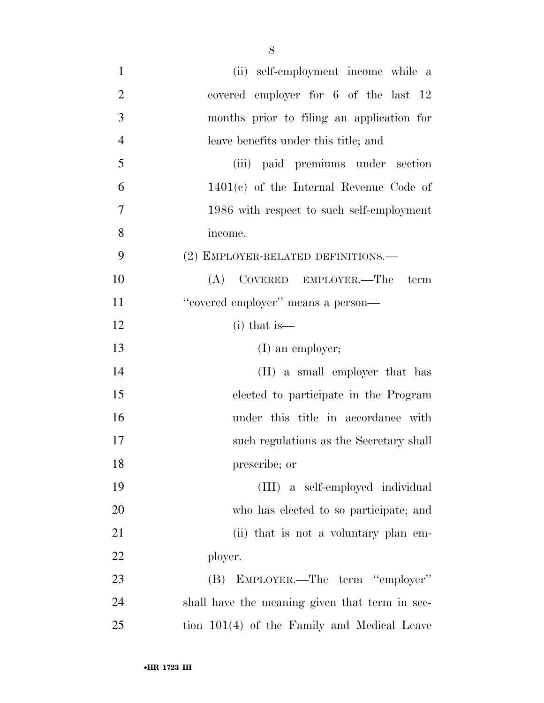| $\mathbf{1}$   | (ii) self-employment income while a            |
|----------------|------------------------------------------------|
| $\overline{2}$ | covered employer for 6 of the last 12          |
| 3              | months prior to filing an application for      |
| $\overline{4}$ | leave benefits under this title; and           |
| 5              | (iii) paid premiums under section              |
| 6              | $1401(c)$ of the Internal Revenue Code of      |
| $\overline{7}$ | 1986 with respect to such self-employment      |
| 8              | income.                                        |
| 9              | (2) EMPLOYER-RELATED DEFINITIONS.—             |
| 10             | COVERED EMPLOYER.—The<br>(A)<br>term           |
| 11             | "covered employer" means a person-             |
| 12             | $(i)$ that is —                                |
| 13             | $(I)$ an employer;                             |
| 14             | (II) a small employer that has                 |
| 15             | elected to participate in the Program          |
| 16             | under this title in accordance with            |
| 17             | such regulations as the Secretary shall        |
| 18             | prescribe; or                                  |
| 19             | (III) a self-employed individual               |
| 20             | who has elected to so participate; and         |
| 21             | (ii) that is not a voluntary plan em-          |
| 22             | ployer.                                        |
| 23             | (B) EMPLOYER.—The term "employer"              |
| 24             | shall have the meaning given that term in sec- |
| 25             | tion 101(4) of the Family and Medical Leave    |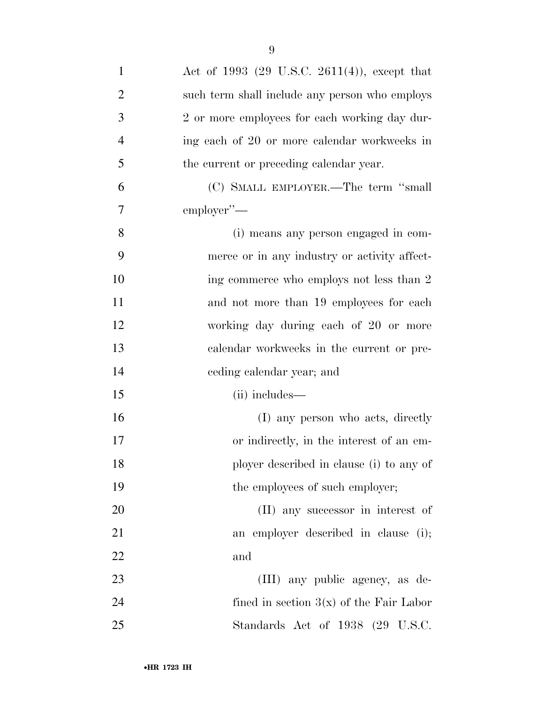| $\mathbf{1}$   | Act of 1993 (29 U.S.C. 2611(4)), except that   |
|----------------|------------------------------------------------|
| $\overline{2}$ | such term shall include any person who employs |
| 3              | 2 or more employees for each working day dur-  |
| $\overline{4}$ | ing each of 20 or more calendar workweeks in   |
| 5              | the current or preceding calendar year.        |
| 6              | (C) SMALL EMPLOYER.—The term "small            |
| $\tau$         | employer"-                                     |
| 8              | (i) means any person engaged in com-           |
| 9              | merce or in any industry or activity affect-   |
| 10             | ing commerce who employs not less than 2       |
| 11             | and not more than 19 employees for each        |
| 12             | working day during each of 20 or more          |
| 13             | calendar workweeks in the current or pre-      |
| 14             | ceding calendar year; and                      |
| 15             | (ii) includes—                                 |
| 16             | (I) any person who acts, directly              |
| 17             | or indirectly, in the interest of an em-       |
| 18             | ployer described in clause (i) to any of       |
| 19             | the employees of such employer;                |
| 20             | (II) any successor in interest of              |
| 21             | an employer described in clause (i);           |
| 22             | and                                            |
| 23             | (III) any public agency, as de-                |
| 24             | fined in section $3(x)$ of the Fair Labor      |
| 25             | Standards Act of 1938 (29 U.S.C.               |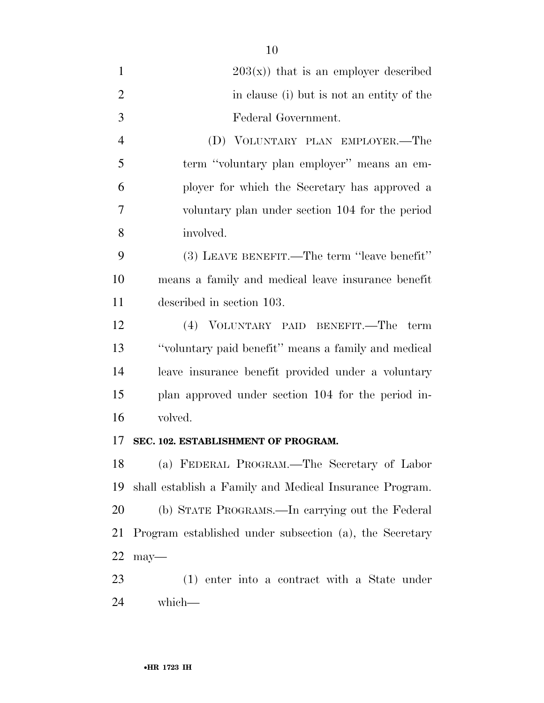| $\mathbf{1}$   | $203(x)$ that is an employer described                  |
|----------------|---------------------------------------------------------|
| $\overline{2}$ | in clause (i) but is not an entity of the               |
| 3              | Federal Government.                                     |
| $\overline{4}$ | (D) VOLUNTARY PLAN EMPLOYER.—The                        |
| 5              | term "voluntary plan employer" means an em-             |
| 6              | ployer for which the Secretary has approved a           |
| 7              | voluntary plan under section 104 for the period         |
| 8              | involved.                                               |
| 9              | (3) LEAVE BENEFIT.—The term "leave benefit"             |
| 10             | means a family and medical leave insurance benefit      |
| 11             | described in section 103.                               |
| 12             | (4) VOLUNTARY PAID BENEFIT.—The term                    |
| 13             | "voluntary paid benefit" means a family and medical     |
| 14             | leave insurance benefit provided under a voluntary      |
| 15             | plan approved under section 104 for the period in-      |
| 16             | volved.                                                 |
| 17             | SEC. 102. ESTABLISHMENT OF PROGRAM.                     |
| 18             | (a) FEDERAL PROGRAM.—The Secretary of Labor             |
| 19             | shall establish a Family and Medical Insurance Program. |
| 20             | (b) STATE PROGRAMS.—In carrying out the Federal         |
| 21             | Program established under subsection (a), the Secretary |
| <u>22</u>      | $may$ —                                                 |
| 23             | (1) enter into a contract with a State under            |
| 24             | which-                                                  |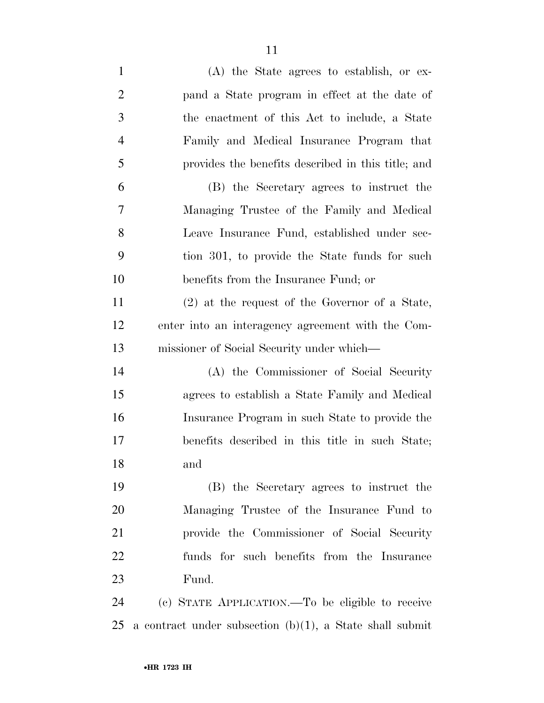| $\mathbf{1}$   | $(A)$ the State agrees to establish, or ex-                 |
|----------------|-------------------------------------------------------------|
| $\overline{2}$ | pand a State program in effect at the date of               |
| 3              | the enactment of this Act to include, a State               |
| $\overline{4}$ | Family and Medical Insurance Program that                   |
| 5              | provides the benefits described in this title; and          |
| 6              | (B) the Secretary agrees to instruct the                    |
| 7              | Managing Trustee of the Family and Medical                  |
| 8              | Leave Insurance Fund, established under sec-                |
| 9              | tion 301, to provide the State funds for such               |
| 10             | benefits from the Insurance Fund; or                        |
| 11             | $(2)$ at the request of the Governor of a State,            |
| 12             | enter into an interagency agreement with the Com-           |
| 13             | missioner of Social Security under which—                   |
| 14             | (A) the Commissioner of Social Security                     |
| 15             | agrees to establish a State Family and Medical              |
| 16             | Insurance Program in such State to provide the              |
| 17             | benefits described in this title in such State;             |
| 18             | and                                                         |
| 19             | (B) the Secretary agrees to instruct the                    |
| 20             | Managing Trustee of the Insurance Fund to                   |
| 21             | provide the Commissioner of Social Security                 |
| 22             | funds for such benefits from the Insurance                  |
| 23             | Fund.                                                       |
| 24             | (c) STATE APPLICATION.—To be eligible to receive            |
| 25             | a contract under subsection $(b)(1)$ , a State shall submit |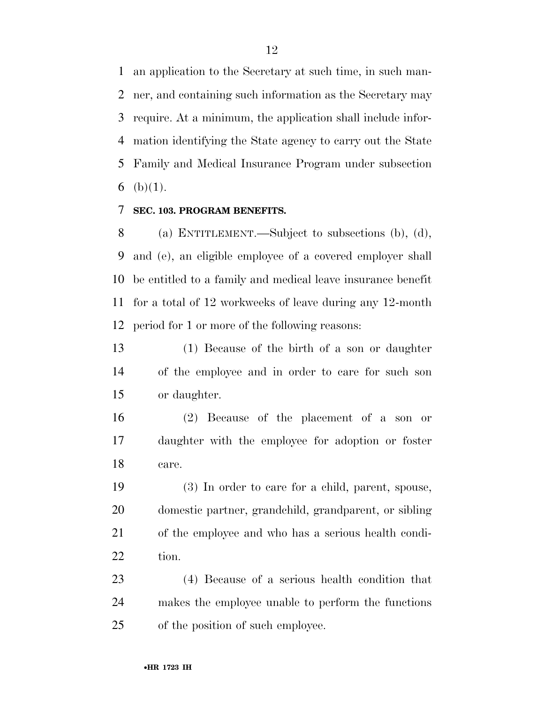an application to the Secretary at such time, in such man- ner, and containing such information as the Secretary may require. At a minimum, the application shall include infor- mation identifying the State agency to carry out the State Family and Medical Insurance Program under subsection 6 (b) $(1)$ .

#### **SEC. 103. PROGRAM BENEFITS.**

 (a) ENTITLEMENT.—Subject to subsections (b), (d), and (e), an eligible employee of a covered employer shall be entitled to a family and medical leave insurance benefit for a total of 12 workweeks of leave during any 12-month period for 1 or more of the following reasons:

 (1) Because of the birth of a son or daughter of the employee and in order to care for such son or daughter.

 (2) Because of the placement of a son or daughter with the employee for adoption or foster care.

 (3) In order to care for a child, parent, spouse, domestic partner, grandchild, grandparent, or sibling of the employee and who has a serious health condi-22 tion.

 (4) Because of a serious health condition that makes the employee unable to perform the functions of the position of such employee.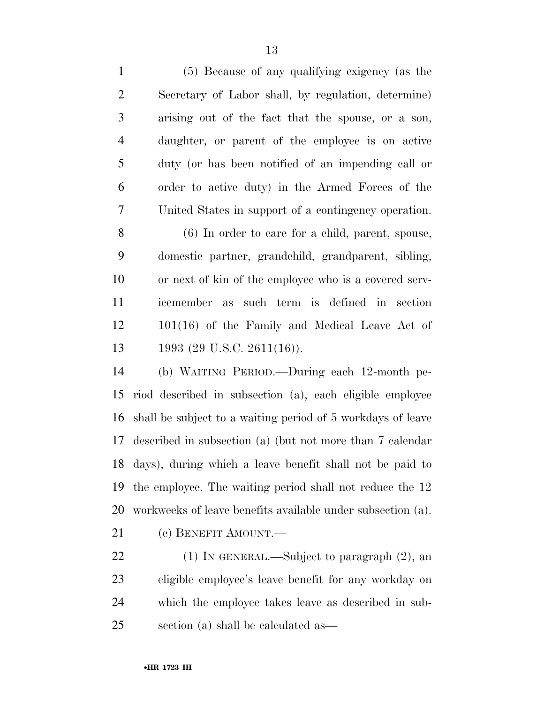(5) Because of any qualifying exigency (as the Secretary of Labor shall, by regulation, determine) arising out of the fact that the spouse, or a son,

 daughter, or parent of the employee is on active duty (or has been notified of an impending call or order to active duty) in the Armed Forces of the United States in support of a contingency operation.

 (6) In order to care for a child, parent, spouse, domestic partner, grandchild, grandparent, sibling, or next of kin of the employee who is a covered serv- icemember as such term is defined in section 101(16) of the Family and Medical Leave Act of 13 1993 (29 U.S.C. 2611(16)).

 (b) WAITING PERIOD.—During each 12-month pe- riod described in subsection (a), each eligible employee shall be subject to a waiting period of 5 workdays of leave described in subsection (a) (but not more than 7 calendar days), during which a leave benefit shall not be paid to the employee. The waiting period shall not reduce the 12 workweeks of leave benefits available under subsection (a).

(c) BENEFIT AMOUNT.—

 (1) IN GENERAL.—Subject to paragraph (2), an eligible employee's leave benefit for any workday on which the employee takes leave as described in sub-section (a) shall be calculated as—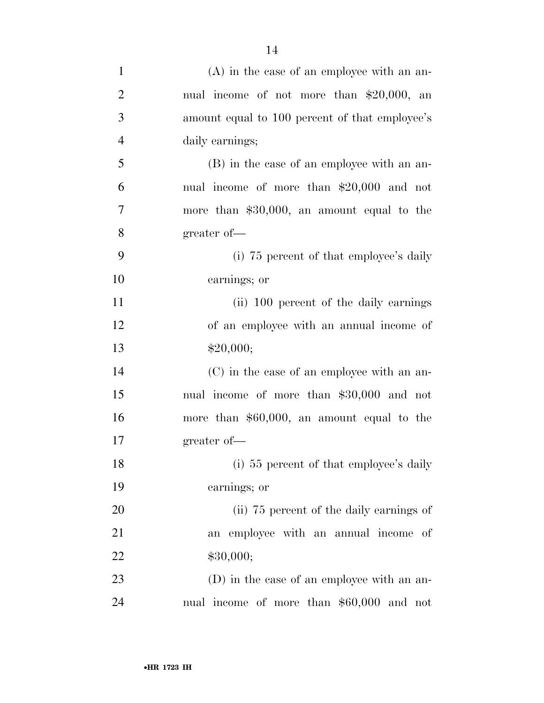| $\mathbf{1}$   | $(A)$ in the case of an employee with an an-   |
|----------------|------------------------------------------------|
| $\overline{2}$ | nual income of not more than $$20,000$ , an    |
| 3              | amount equal to 100 percent of that employee's |
| $\overline{4}$ | daily earnings;                                |
| $\mathfrak{S}$ | (B) in the case of an employee with an an-     |
| 6              | nual income of more than \$20,000 and not      |
| $\tau$         | more than $$30,000$ , an amount equal to the   |
| 8              | greater of-                                    |
| 9              | (i) 75 percent of that employee's daily        |
| 10             | earnings; or                                   |
| 11             | (ii) 100 percent of the daily earnings         |
| 12             | of an employee with an annual income of        |
| 13             | \$20,000;                                      |
| 14             | (C) in the case of an employee with an an-     |
| 15             | nual income of more than \$30,000 and not      |
| 16             | more than $$60,000$ , an amount equal to the   |
| 17             | greater of-                                    |
| 18             | (i) 55 percent of that employee's daily        |
| 19             | earnings; or                                   |
| 20             | (ii) 75 percent of the daily earnings of       |
| 21             | an employee with an annual income of           |
| 22             | \$30,000;                                      |
| 23             | (D) in the case of an employee with an an-     |
| 24             | nual income of more than \$60,000 and not      |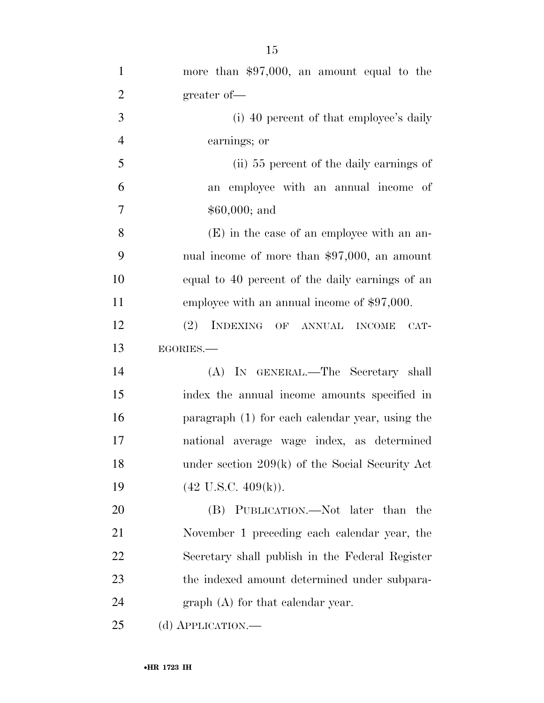| $\mathbf{1}$   | more than $$97,000$ , an amount equal to the      |
|----------------|---------------------------------------------------|
| $\overline{2}$ | greater of-                                       |
| 3              | (i) 40 percent of that employee's daily           |
| $\overline{4}$ | earnings; or                                      |
| 5              | (ii) 55 percent of the daily earnings of          |
| 6              | an employee with an annual income of              |
| $\tau$         | $$60,000;$ and                                    |
| 8              | $(E)$ in the case of an employee with an an-      |
| 9              | nual income of more than $$97,000$ , an amount    |
| 10             | equal to 40 percent of the daily earnings of an   |
| 11             | employee with an annual income of $$97,000$ .     |
| 12             | (2) INDEXING OF ANNUAL INCOME<br>CAT-             |
| 13             | EGORIES.                                          |
| 14             | (A) IN GENERAL.—The Secretary shall               |
| 15             | index the annual income amounts specified in      |
| 16             | paragraph (1) for each calendar year, using the   |
| 17             | national average wage index, as determined        |
| 18             | under section $209(k)$ of the Social Security Act |
| 19             | $(42 \text{ U.S.C. } 409(k)).$                    |
| 20             | (B) PUBLICATION.—Not later than the               |
| 21             | November 1 preceding each calendar year, the      |
| 22             | Secretary shall publish in the Federal Register   |
| 23             | the indexed amount determined under subpara-      |
| 24             | $graph(A)$ for that calendar year.                |
| 25             | (d) APPLICATION.—                                 |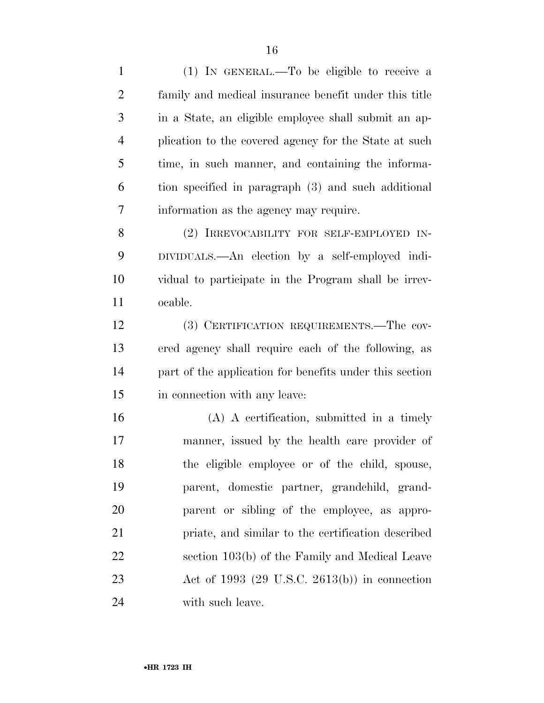(1) IN GENERAL.—To be eligible to receive a family and medical insurance benefit under this title in a State, an eligible employee shall submit an ap- plication to the covered agency for the State at such time, in such manner, and containing the informa- tion specified in paragraph (3) and such additional information as the agency may require. (2) IRREVOCABILITY FOR SELF-EMPLOYED IN- DIVIDUALS.—An election by a self-employed indi- vidual to participate in the Program shall be irrev- ocable. (3) CERTIFICATION REQUIREMENTS.—The cov- ered agency shall require each of the following, as part of the application for benefits under this section in connection with any leave: (A) A certification, submitted in a timely manner, issued by the health care provider of the eligible employee or of the child, spouse, parent, domestic partner, grandchild, grand- parent or sibling of the employee, as appro- priate, and similar to the certification described section 103(b) of the Family and Medical Leave Act of 1993 (29 U.S.C. 2613(b)) in connection with such leave.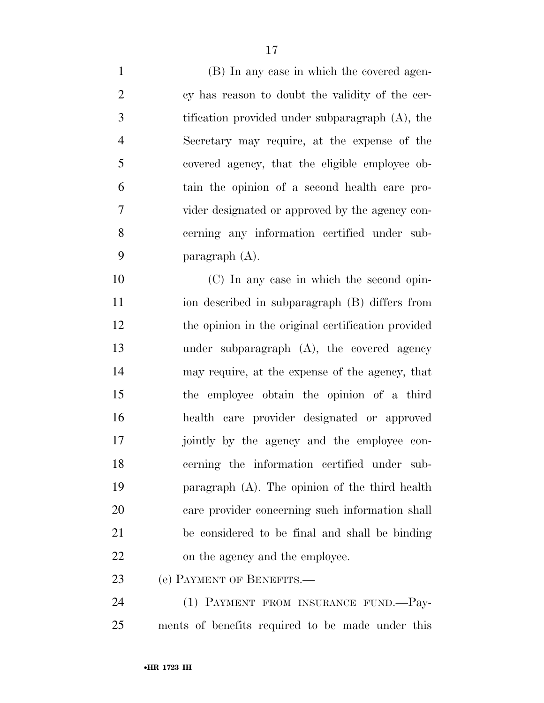(B) In any case in which the covered agen- cy has reason to doubt the validity of the cer- tification provided under subparagraph (A), the Secretary may require, at the expense of the covered agency, that the eligible employee ob- tain the opinion of a second health care pro- vider designated or approved by the agency con- cerning any information certified under sub-paragraph (A).

 (C) In any case in which the second opin- ion described in subparagraph (B) differs from the opinion in the original certification provided under subparagraph (A), the covered agency may require, at the expense of the agency, that the employee obtain the opinion of a third health care provider designated or approved jointly by the agency and the employee con- cerning the information certified under sub- paragraph (A). The opinion of the third health care provider concerning such information shall be considered to be final and shall be binding on the agency and the employee.

(e) PAYMENT OF BENEFITS.—

 (1) PAYMENT FROM INSURANCE FUND.—Pay-ments of benefits required to be made under this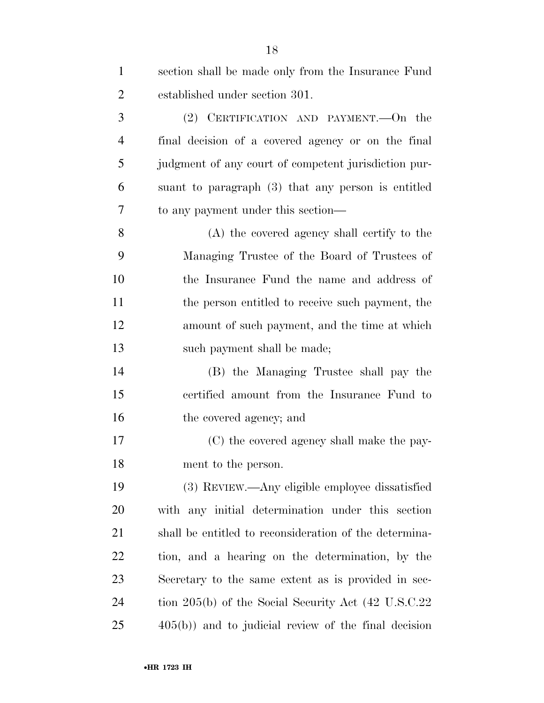| $\mathbf{1}$   | section shall be made only from the Insurance Fund               |
|----------------|------------------------------------------------------------------|
| $\overline{2}$ | established under section 301.                                   |
| 3              | (2) CERTIFICATION AND PAYMENT.—On the                            |
| $\overline{4}$ | final decision of a covered agency or on the final               |
| 5              | judgment of any court of competent jurisdiction pur-             |
| 6              | suant to paragraph (3) that any person is entitled               |
| 7              | to any payment under this section—                               |
| 8              | (A) the covered agency shall certify to the                      |
| 9              | Managing Trustee of the Board of Trustees of                     |
| 10             | the Insurance Fund the name and address of                       |
| 11             | the person entitled to receive such payment, the                 |
| 12             | amount of such payment, and the time at which                    |
| 13             | such payment shall be made;                                      |
| 14             | (B) the Managing Trustee shall pay the                           |
| 15             | certified amount from the Insurance Fund to                      |
| 16             | the covered agency; and                                          |
| 17             | (C) the covered agency shall make the pay-                       |
| 18             | ment to the person.                                              |
| 19             | (3) REVIEW.—Any eligible employee dissatisfied                   |
| 20             | with any initial determination under this section                |
| 21             | shall be entitled to reconsideration of the determina-           |
| 22             | tion, and a hearing on the determination, by the                 |
| 23             | Secretary to the same extent as is provided in sec-              |
| 24             | tion $205(b)$ of the Social Security Act $(42 \text{ U.S.C.}22)$ |
| 25             | $405(b)$ ) and to judicial review of the final decision          |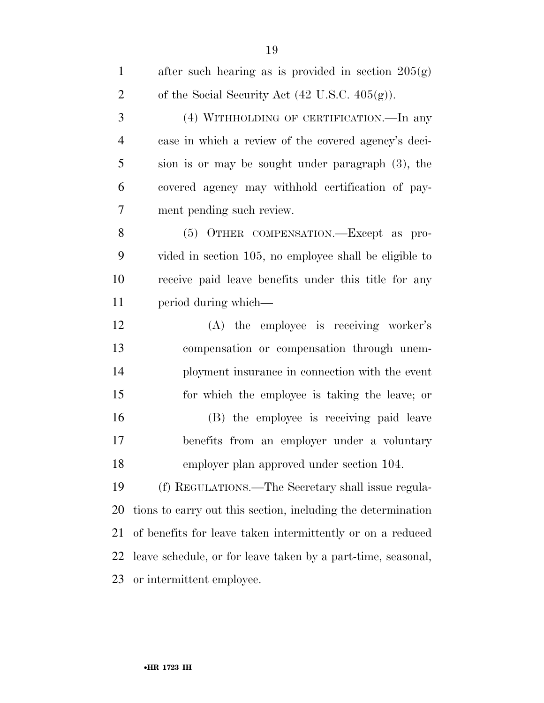| $\mathbf{1}$   | after such hearing as is provided in section $205(g)$        |
|----------------|--------------------------------------------------------------|
| $\overline{2}$ | of the Social Security Act $(42 \text{ U.S.C. } 405(g))$ .   |
| 3              | (4) WITHHOLDING OF CERTIFICATION.—In any                     |
| $\overline{4}$ | case in which a review of the covered agency's deci-         |
| 5              | sion is or may be sought under paragraph (3), the            |
| 6              | covered agency may withhold certification of pay-            |
| 7              | ment pending such review.                                    |
| 8              | (5) OTHER COMPENSATION.—Except as pro-                       |
| 9              | vided in section 105, no employee shall be eligible to       |
| 10             | receive paid leave benefits under this title for any         |
| 11             | period during which—                                         |
| 12             | (A) the employee is receiving worker's                       |
| 13             | compensation or compensation through unem-                   |
| 14             | ployment insurance in connection with the event              |
| 15             | for which the employee is taking the leave; or               |
| 16             | (B) the employee is receiving paid leave                     |
| 17             | benefits from an employer under a voluntary                  |
| 18             | employer plan approved under section 104.                    |
| 19             | (f) REGULATIONS.—The Secretary shall issue regula-           |
| 20             | tions to carry out this section, including the determination |
| 21             | of benefits for leave taken intermittently or on a reduced   |
| 22             | leave schedule, or for leave taken by a part-time, seasonal, |
| 23             | or intermittent employee.                                    |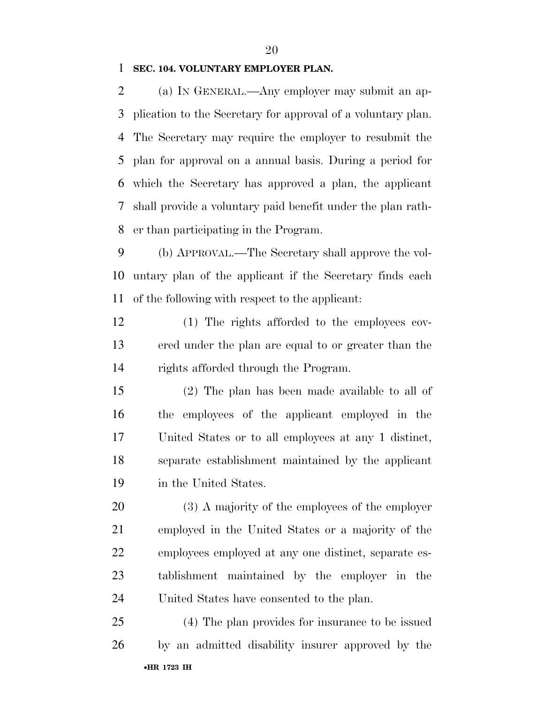#### **SEC. 104. VOLUNTARY EMPLOYER PLAN.**

 (a) IN GENERAL.—Any employer may submit an ap- plication to the Secretary for approval of a voluntary plan. The Secretary may require the employer to resubmit the plan for approval on a annual basis. During a period for which the Secretary has approved a plan, the applicant shall provide a voluntary paid benefit under the plan rath-er than participating in the Program.

 (b) APPROVAL.—The Secretary shall approve the vol- untary plan of the applicant if the Secretary finds each of the following with respect to the applicant:

 (1) The rights afforded to the employees cov- ered under the plan are equal to or greater than the rights afforded through the Program.

 (2) The plan has been made available to all of the employees of the applicant employed in the United States or to all employees at any 1 distinct, separate establishment maintained by the applicant in the United States.

 (3) A majority of the employees of the employer employed in the United States or a majority of the employees employed at any one distinct, separate es- tablishment maintained by the employer in the United States have consented to the plan.

•**HR 1723 IH** (4) The plan provides for insurance to be issued by an admitted disability insurer approved by the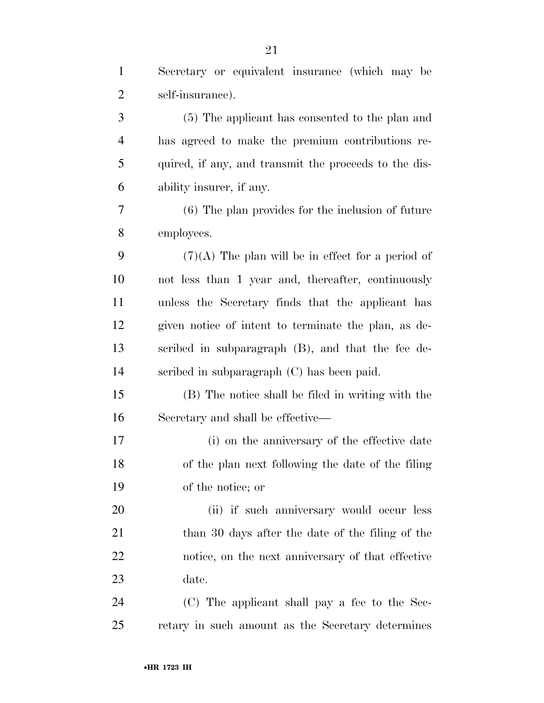| $\mathbf{1}$   | Secretary or equivalent insurance (which may be       |
|----------------|-------------------------------------------------------|
| $\overline{2}$ | self-insurance).                                      |
| 3              | (5) The applicant has consented to the plan and       |
| $\overline{4}$ | has agreed to make the premium contributions re-      |
| 5              | quired, if any, and transmit the proceeds to the dis- |
| 6              | ability insurer, if any.                              |
| 7              | (6) The plan provides for the inclusion of future     |
| 8              | employees.                                            |
| 9              | $(7)(A)$ The plan will be in effect for a period of   |
| 10             | not less than 1 year and, thereafter, continuously    |
| 11             | unless the Secretary finds that the applicant has     |
| 12             | given notice of intent to terminate the plan, as de-  |
| 13             | scribed in subparagraph (B), and that the fee de-     |
| 14             | scribed in subparagraph (C) has been paid.            |
| 15             | (B) The notice shall be filed in writing with the     |
| 16             | Secretary and shall be effective—                     |
| $17\,$         | (i) on the anniversary of the effective date          |
| 18             | of the plan next following the date of the filing     |
| 19             | of the notice; or                                     |
| 20             | (ii) if such anniversary would occur less             |
| 21             | than 30 days after the date of the filing of the      |
| 22             | notice, on the next anniversary of that effective     |
| 23             | date.                                                 |
| 24             | (C) The applicant shall pay a fee to the Sec-         |
| 25             | retary in such amount as the Secretary determines     |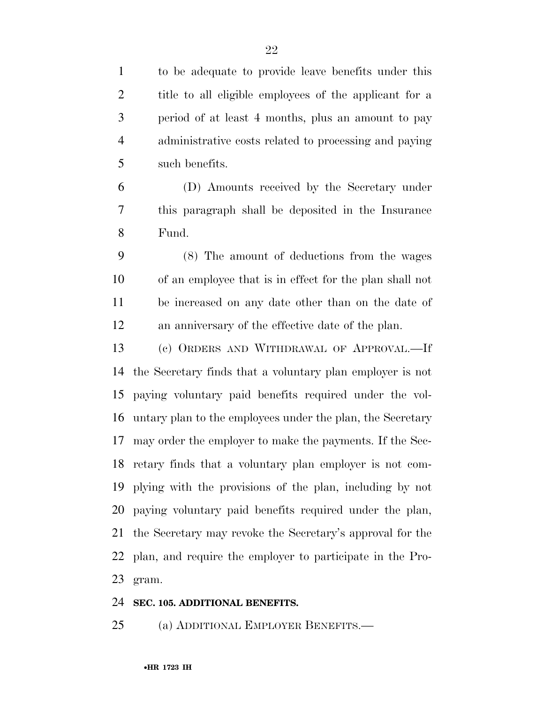to be adequate to provide leave benefits under this title to all eligible employees of the applicant for a period of at least 4 months, plus an amount to pay administrative costs related to processing and paying such benefits.

 (D) Amounts received by the Secretary under this paragraph shall be deposited in the Insurance Fund.

 (8) The amount of deductions from the wages of an employee that is in effect for the plan shall not be increased on any date other than on the date of an anniversary of the effective date of the plan.

 (c) ORDERS AND WITHDRAWAL OF APPROVAL.—If the Secretary finds that a voluntary plan employer is not paying voluntary paid benefits required under the vol- untary plan to the employees under the plan, the Secretary may order the employer to make the payments. If the Sec- retary finds that a voluntary plan employer is not com- plying with the provisions of the plan, including by not paying voluntary paid benefits required under the plan, the Secretary may revoke the Secretary's approval for the plan, and require the employer to participate in the Pro-gram.

#### **SEC. 105. ADDITIONAL BENEFITS.**

(a) ADDITIONAL EMPLOYER BENEFITS.—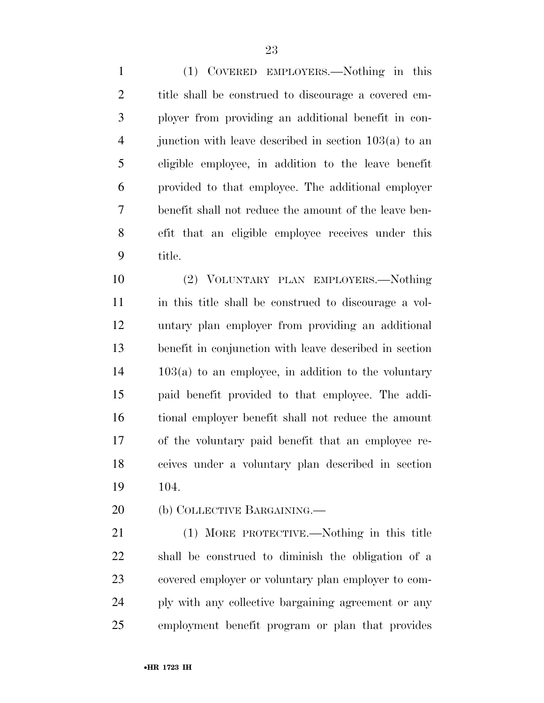(1) COVERED EMPLOYERS.—Nothing in this title shall be construed to discourage a covered em- ployer from providing an additional benefit in con- junction with leave described in section 103(a) to an eligible employee, in addition to the leave benefit provided to that employee. The additional employer benefit shall not reduce the amount of the leave ben- efit that an eligible employee receives under this title.

 (2) VOLUNTARY PLAN EMPLOYERS.—Nothing in this title shall be construed to discourage a vol- untary plan employer from providing an additional benefit in conjunction with leave described in section 103(a) to an employee, in addition to the voluntary paid benefit provided to that employee. The addi- tional employer benefit shall not reduce the amount of the voluntary paid benefit that an employee re- ceives under a voluntary plan described in section 104.

20 (b) COLLECTIVE BARGAINING.

 (1) MORE PROTECTIVE.—Nothing in this title shall be construed to diminish the obligation of a covered employer or voluntary plan employer to com- ply with any collective bargaining agreement or any employment benefit program or plan that provides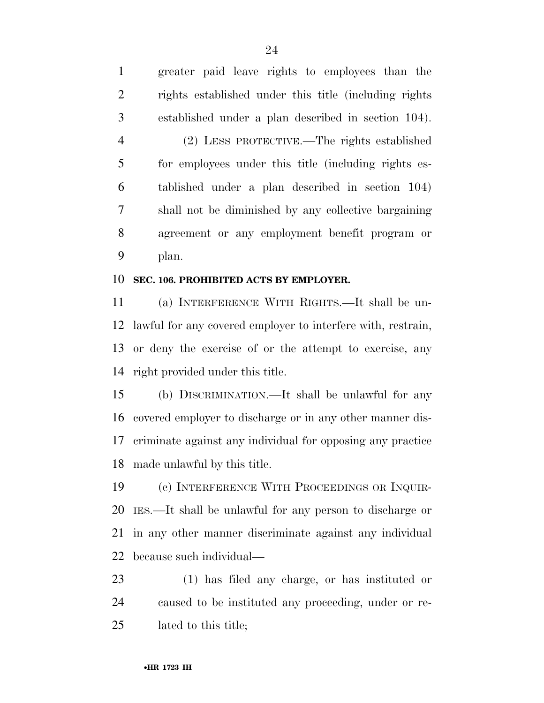greater paid leave rights to employees than the rights established under this title (including rights established under a plan described in section 104). (2) LESS PROTECTIVE.—The rights established for employees under this title (including rights es- tablished under a plan described in section 104) shall not be diminished by any collective bargaining agreement or any employment benefit program or plan.

#### **SEC. 106. PROHIBITED ACTS BY EMPLOYER.**

 (a) INTERFERENCE WITH RIGHTS.—It shall be un- lawful for any covered employer to interfere with, restrain, or deny the exercise of or the attempt to exercise, any right provided under this title.

 (b) DISCRIMINATION.—It shall be unlawful for any covered employer to discharge or in any other manner dis- criminate against any individual for opposing any practice made unlawful by this title.

 (c) INTERFERENCE WITH PROCEEDINGS OR INQUIR- IES.—It shall be unlawful for any person to discharge or in any other manner discriminate against any individual because such individual—

 (1) has filed any charge, or has instituted or caused to be instituted any proceeding, under or re-lated to this title;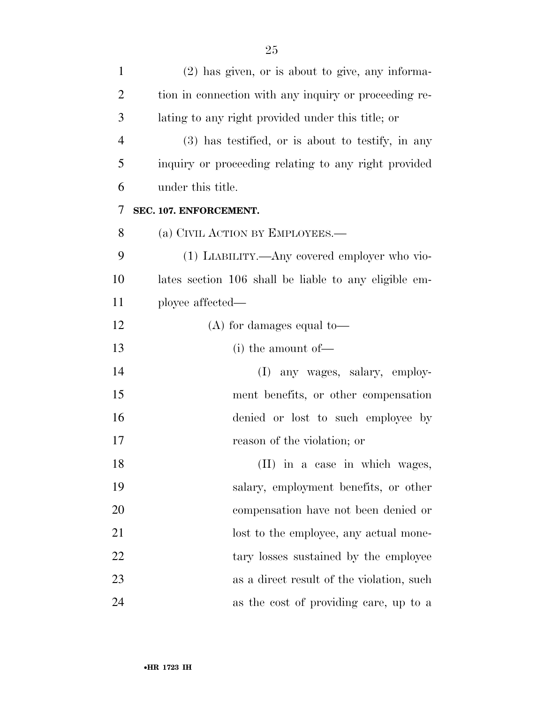| $\mathbf{1}$   | $(2)$ has given, or is about to give, any informa-    |
|----------------|-------------------------------------------------------|
| $\overline{2}$ | tion in connection with any inquiry or proceeding re- |
| 3              | lating to any right provided under this title; or     |
| $\overline{4}$ | $(3)$ has testified, or is about to testify, in any   |
| 5              | inquiry or proceeding relating to any right provided  |
| 6              | under this title.                                     |
| 7              | SEC. 107. ENFORCEMENT.                                |
| 8              | (a) CIVIL ACTION BY EMPLOYEES.—                       |
| 9              | (1) LIABILITY.—Any covered employer who vio-          |
| 10             | lates section 106 shall be liable to any eligible em- |
| 11             | ployee affected—                                      |
| 12             | $(A)$ for damages equal to-                           |
| 13             | $(i)$ the amount of —                                 |
| 14             | any wages, salary, employ-<br>(I)                     |
| 15             | ment benefits, or other compensation                  |
| 16             | denied or lost to such employee by                    |
| 17             | reason of the violation; or                           |
| 18             | (II) in a case in which wages,                        |
| 19             | salary, employment benefits, or other                 |
| 20             | compensation have not been denied or                  |
| 21             | lost to the employee, any actual mone-                |
| 22             | tary losses sustained by the employee                 |
| 23             | as a direct result of the violation, such             |
| 24             | as the cost of providing care, up to a                |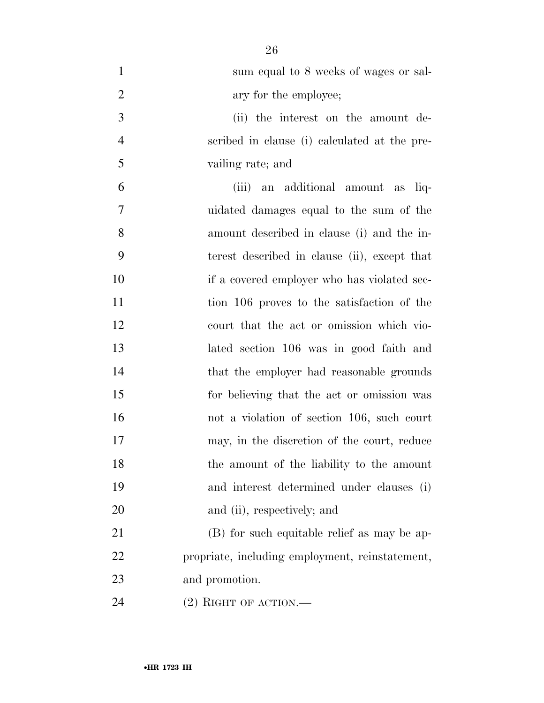| $\mathbf{1}$   | sum equal to 8 weeks of wages or sal-           |
|----------------|-------------------------------------------------|
| $\overline{2}$ | ary for the employee;                           |
| 3              | (ii) the interest on the amount de-             |
| $\overline{4}$ | scribed in clause (i) calculated at the pre-    |
| 5              | vailing rate; and                               |
| 6              | (iii) an additional amount as liq-              |
| $\overline{7}$ | uidated damages equal to the sum of the         |
| 8              | amount described in clause (i) and the in-      |
| 9              | terest described in clause (ii), except that    |
| 10             | if a covered employer who has violated sec-     |
| 11             | tion 106 proves to the satisfaction of the      |
| 12             | court that the act or omission which vio-       |
| 13             | lated section 106 was in good faith and         |
| 14             | that the employer had reasonable grounds        |
| 15             | for believing that the act or omission was      |
| 16             | not a violation of section 106, such court      |
| 17             | may, in the discretion of the court, reduce     |
| 18             | the amount of the liability to the amount       |
| 19             | and interest determined under clauses (i)       |
| 20             | and (ii), respectively; and                     |
| 21             | (B) for such equitable relief as may be ap-     |
| 22             | propriate, including employment, reinstatement, |
| 23             | and promotion.                                  |
|                |                                                 |

(2) RIGHT OF ACTION.—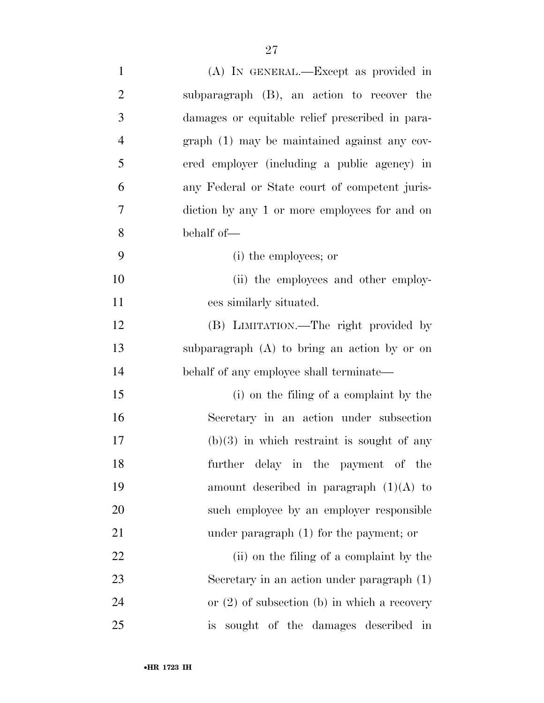| $\mathbf{1}$             | (A) IN GENERAL.—Except as provided in            |
|--------------------------|--------------------------------------------------|
| $\overline{2}$           | subparagraph (B), an action to recover the       |
| 3                        | damages or equitable relief prescribed in para-  |
| $\overline{\mathcal{A}}$ | $graph(1)$ may be maintained against any cov-    |
| 5                        | ered employer (including a public agency) in     |
| 6                        | any Federal or State court of competent juris-   |
| $\boldsymbol{7}$         | diction by any 1 or more employees for and on    |
| 8                        | behalf of-                                       |
| 9                        | (i) the employees; or                            |
| 10                       | (ii) the employees and other employ-             |
| 11                       | ees similarly situated.                          |
| 12                       | (B) LIMITATION.—The right provided by            |
| 13                       | subparagraph (A) to bring an action by or on     |
| 14                       | behalf of any employee shall terminate—          |
| 15                       | (i) on the filing of a complaint by the          |
| 16                       | Secretary in an action under subsection          |
| 17                       | $(b)(3)$ in which restraint is sought of any     |
| 18                       | further delay in the payment of the              |
| 19                       | amount described in paragraph $(1)(A)$ to        |
| 20                       | such employee by an employer responsible         |
| 21                       | under paragraph $(1)$ for the payment; or        |
| 22                       | (ii) on the filing of a complaint by the         |
| 23                       | Secretary in an action under paragraph (1)       |
| 24                       | or $(2)$ of subsection $(b)$ in which a recovery |
| 25                       | sought of the damages described in<br>is         |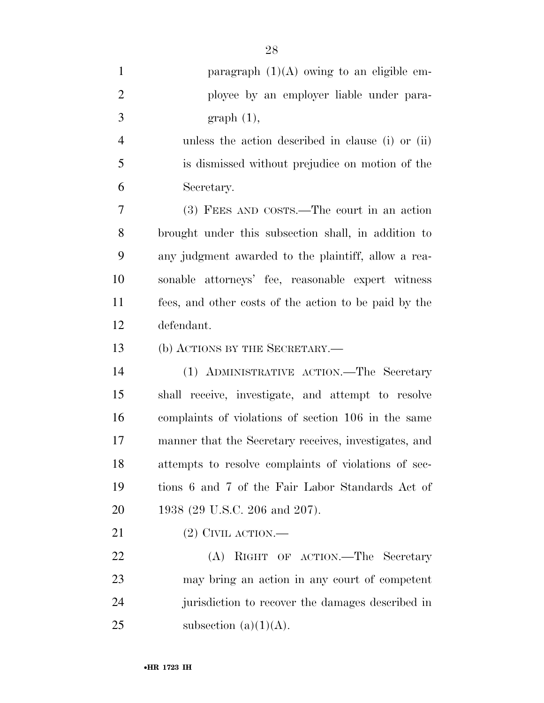| $\mathbf{1}$   | paragraph $(1)(A)$ owing to an eligible em-           |
|----------------|-------------------------------------------------------|
| $\overline{2}$ | ployee by an employer liable under para-              |
| 3              | graph(1),                                             |
| $\overline{4}$ | unless the action described in clause (i) or (ii)     |
| 5              | is dismissed without prejudice on motion of the       |
| 6              | Secretary.                                            |
| 7              | (3) FEES AND COSTS.—The court in an action            |
| 8              | brought under this subsection shall, in addition to   |
| 9              | any judgment awarded to the plaintiff, allow a rea-   |
| 10             | sonable attorneys' fee, reasonable expert witness     |
| 11             | fees, and other costs of the action to be paid by the |
| 12             | defendant.                                            |
| 13             | (b) ACTIONS BY THE SECRETARY.—                        |
| 14             | (1) ADMINISTRATIVE ACTION.—The Secretary              |
| 15             | shall receive, investigate, and attempt to resolve    |
| 16             | complaints of violations of section 106 in the same   |
| 17             | manner that the Secretary receives, investigates, and |
| 18             | attempts to resolve complaints of violations of sec-  |
| 19             | tions 6 and 7 of the Fair Labor Standards Act of      |
| 20             | 1938 (29 U.S.C. 206 and 207).                         |
| 21             | $(2)$ CIVIL ACTION.—                                  |
| 22             | (A) RIGHT OF ACTION.—The Secretary                    |
| 23             | may bring an action in any court of competent         |
| 24             | jurisdiction to recover the damages described in      |
| 25             | subsection $(a)(1)(A)$ .                              |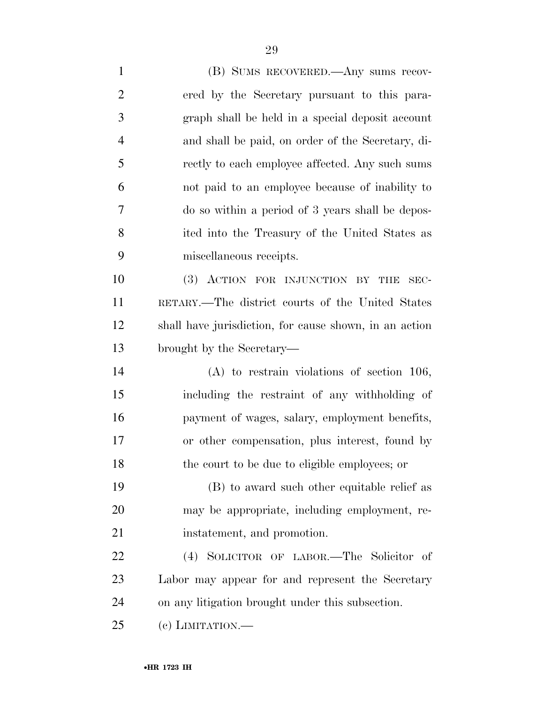(B) SUMS RECOVERED.—Any sums recov- ered by the Secretary pursuant to this para- graph shall be held in a special deposit account and shall be paid, on order of the Secretary, di- rectly to each employee affected. Any such sums not paid to an employee because of inability to do so within a period of 3 years shall be depos- ited into the Treasury of the United States as miscellaneous receipts. (3) ACTION FOR INJUNCTION BY THE SEC- RETARY.—The district courts of the United States shall have jurisdiction, for cause shown, in an action brought by the Secretary— (A) to restrain violations of section 106, including the restraint of any withholding of payment of wages, salary, employment benefits, or other compensation, plus interest, found by the court to be due to eligible employees; or (B) to award such other equitable relief as may be appropriate, including employment, re-21 instatement, and promotion. (4) SOLICITOR OF LABOR.—The Solicitor of Labor may appear for and represent the Secretary on any litigation brought under this subsection. (c) LIMITATION.—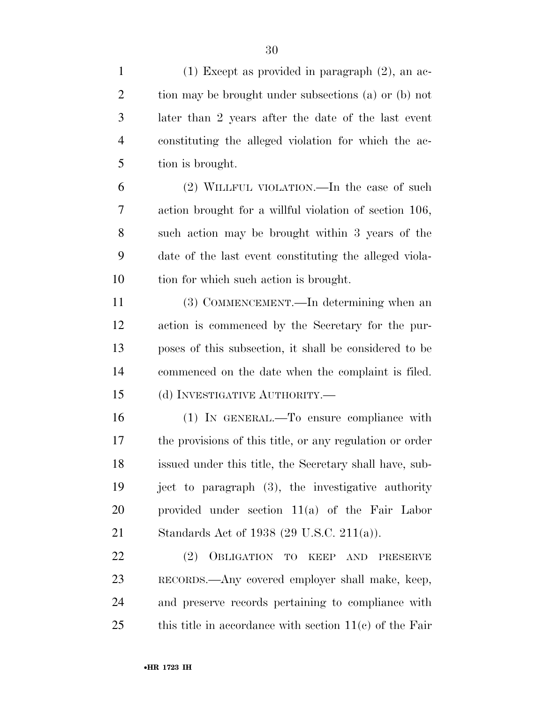(1) Except as provided in paragraph (2), an ac- tion may be brought under subsections (a) or (b) not later than 2 years after the date of the last event constituting the alleged violation for which the ac- tion is brought. (2) WILLFUL VIOLATION.—In the case of such action brought for a willful violation of section 106, such action may be brought within 3 years of the date of the last event constituting the alleged viola- tion for which such action is brought. (3) COMMENCEMENT.—In determining when an action is commenced by the Secretary for the pur- poses of this subsection, it shall be considered to be commenced on the date when the complaint is filed. (d) INVESTIGATIVE AUTHORITY.— (1) IN GENERAL.—To ensure compliance with the provisions of this title, or any regulation or order issued under this title, the Secretary shall have, sub- ject to paragraph (3), the investigative authority provided under section 11(a) of the Fair Labor Standards Act of 1938 (29 U.S.C. 211(a)). (2) OBLIGATION TO KEEP AND PRESERVE RECORDS.—Any covered employer shall make, keep, and preserve records pertaining to compliance with

this title in accordance with section  $11(c)$  of the Fair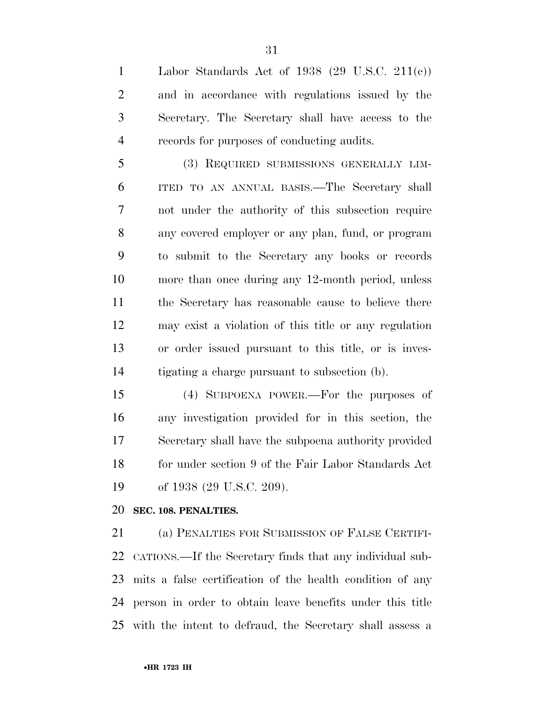Labor Standards Act of 1938 (29 U.S.C. 211(c)) and in accordance with regulations issued by the Secretary. The Secretary shall have access to the records for purposes of conducting audits.

 (3) REQUIRED SUBMISSIONS GENERALLY LIM- ITED TO AN ANNUAL BASIS.—The Secretary shall not under the authority of this subsection require any covered employer or any plan, fund, or program to submit to the Secretary any books or records more than once during any 12-month period, unless the Secretary has reasonable cause to believe there may exist a violation of this title or any regulation or order issued pursuant to this title, or is inves-tigating a charge pursuant to subsection (b).

 (4) SUBPOENA POWER.—For the purposes of any investigation provided for in this section, the Secretary shall have the subpoena authority provided 18 for under section 9 of the Fair Labor Standards Act 19 of 1938 (29 U.S.C. 209).

#### **SEC. 108. PENALTIES.**

 (a) PENALTIES FOR SUBMISSION OF FALSE CERTIFI- CATIONS.—If the Secretary finds that any individual sub- mits a false certification of the health condition of any person in order to obtain leave benefits under this title with the intent to defraud, the Secretary shall assess a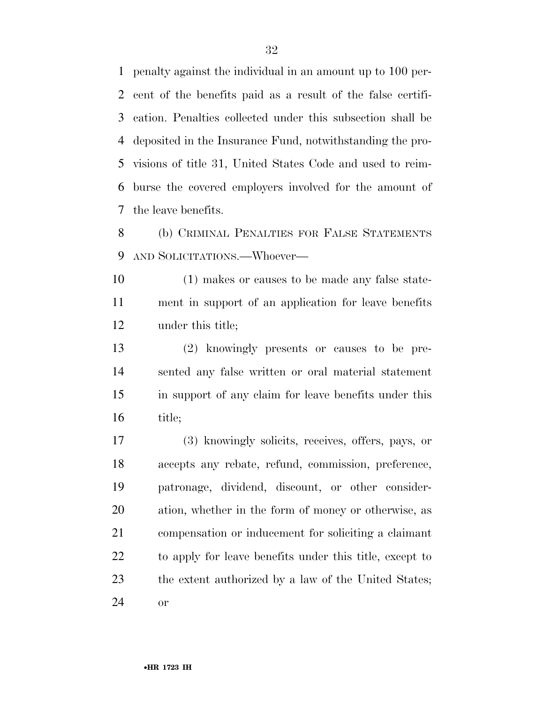penalty against the individual in an amount up to 100 per- cent of the benefits paid as a result of the false certifi- cation. Penalties collected under this subsection shall be deposited in the Insurance Fund, notwithstanding the pro- visions of title 31, United States Code and used to reim- burse the covered employers involved for the amount of the leave benefits.

 (b) CRIMINAL PENALTIES FOR FALSE STATEMENTS AND SOLICITATIONS.—Whoever—

 (1) makes or causes to be made any false state- ment in support of an application for leave benefits under this title;

 (2) knowingly presents or causes to be pre- sented any false written or oral material statement in support of any claim for leave benefits under this title;

 (3) knowingly solicits, receives, offers, pays, or accepts any rebate, refund, commission, preference, patronage, dividend, discount, or other consider- ation, whether in the form of money or otherwise, as compensation or inducement for soliciting a claimant to apply for leave benefits under this title, except to the extent authorized by a law of the United States; or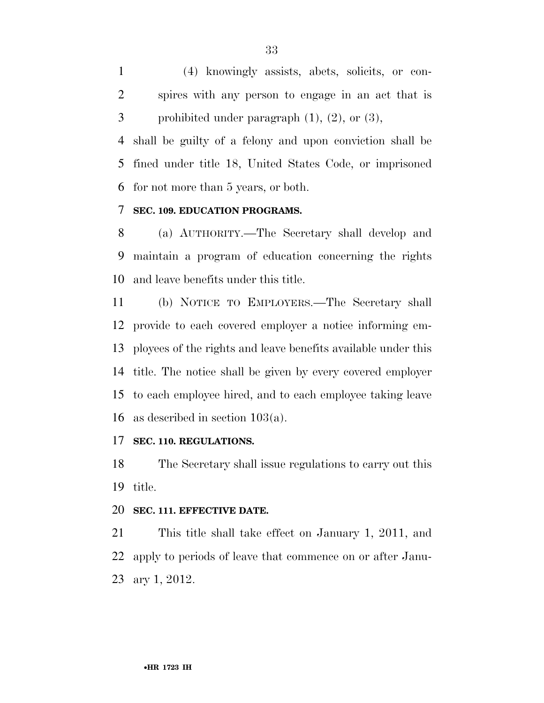(4) knowingly assists, abets, solicits, or con- spires with any person to engage in an act that is 3 prohibited under paragraph  $(1)$ ,  $(2)$ , or  $(3)$ ,

 shall be guilty of a felony and upon conviction shall be fined under title 18, United States Code, or imprisoned for not more than 5 years, or both.

#### **SEC. 109. EDUCATION PROGRAMS.**

 (a) AUTHORITY.—The Secretary shall develop and maintain a program of education concerning the rights and leave benefits under this title.

 (b) NOTICE TO EMPLOYERS.—The Secretary shall provide to each covered employer a notice informing em- ployees of the rights and leave benefits available under this title. The notice shall be given by every covered employer to each employee hired, and to each employee taking leave as described in section 103(a).

#### **SEC. 110. REGULATIONS.**

 The Secretary shall issue regulations to carry out this title.

#### **SEC. 111. EFFECTIVE DATE.**

 This title shall take effect on January 1, 2011, and apply to periods of leave that commence on or after Janu-ary 1, 2012.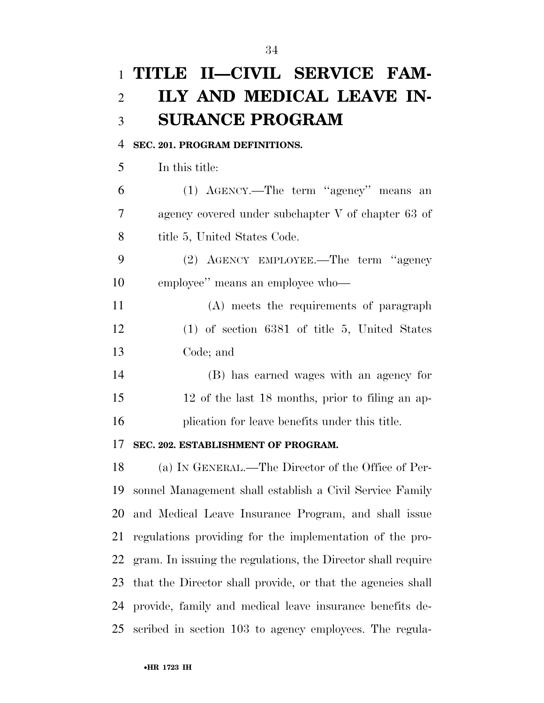# **TITLE II—CIVIL SERVICE FAM- ILY AND MEDICAL LEAVE IN-SURANCE PROGRAM**

#### **SEC. 201. PROGRAM DEFINITIONS.**

In this title:

 (1) AGENCY.—The term ''agency'' means an agency covered under subchapter V of chapter 63 of 8 title 5, United States Code.

 (2) AGENCY EMPLOYEE.—The term ''agency employee'' means an employee who—

 (A) meets the requirements of paragraph (1) of section 6381 of title 5, United States Code; and

 (B) has earned wages with an agency for 12 of the last 18 months, prior to filing an ap-plication for leave benefits under this title.

#### **SEC. 202. ESTABLISHMENT OF PROGRAM.**

 (a) IN GENERAL.—The Director of the Office of Per- sonnel Management shall establish a Civil Service Family and Medical Leave Insurance Program, and shall issue regulations providing for the implementation of the pro- gram. In issuing the regulations, the Director shall require that the Director shall provide, or that the agencies shall provide, family and medical leave insurance benefits de-scribed in section 103 to agency employees. The regula-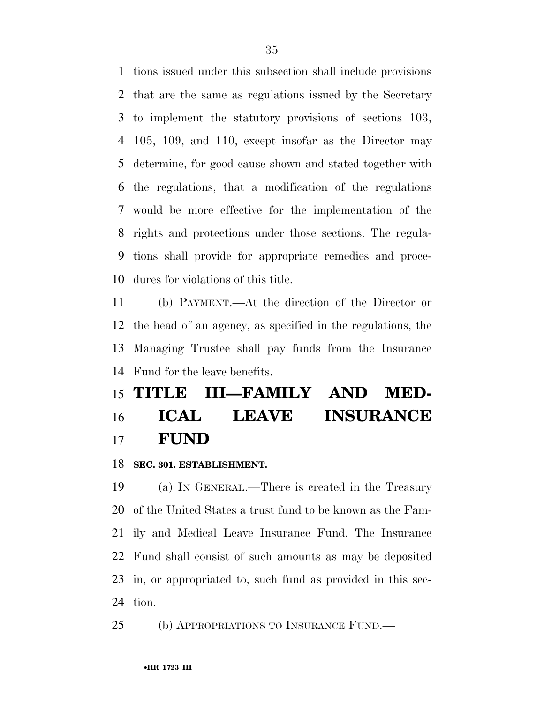tions issued under this subsection shall include provisions that are the same as regulations issued by the Secretary to implement the statutory provisions of sections 103, 105, 109, and 110, except insofar as the Director may determine, for good cause shown and stated together with the regulations, that a modification of the regulations would be more effective for the implementation of the rights and protections under those sections. The regula- tions shall provide for appropriate remedies and proce-dures for violations of this title.

 (b) PAYMENT.—At the direction of the Director or the head of an agency, as specified in the regulations, the Managing Trustee shall pay funds from the Insurance Fund for the leave benefits.

## **TITLE III—FAMILY AND MED- ICAL LEAVE INSURANCE FUND**

**SEC. 301. ESTABLISHMENT.** 

 (a) IN GENERAL.—There is created in the Treasury of the United States a trust fund to be known as the Fam- ily and Medical Leave Insurance Fund. The Insurance Fund shall consist of such amounts as may be deposited in, or appropriated to, such fund as provided in this sec-tion.

(b) APPROPRIATIONS TO INSURANCE FUND.—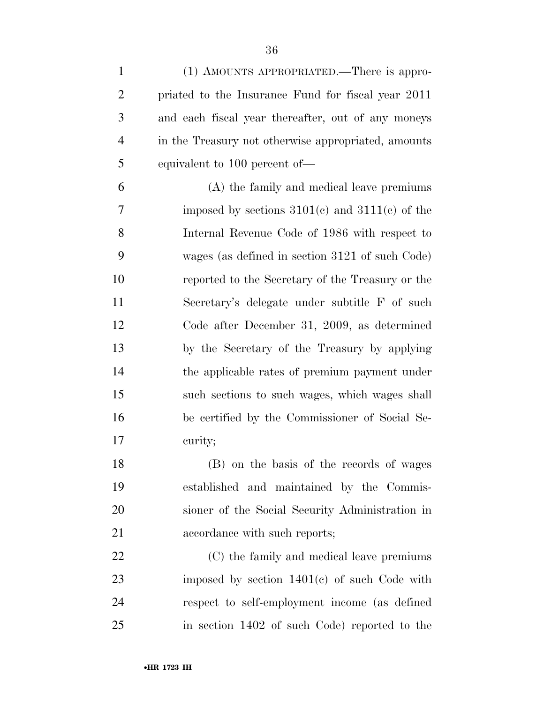| $\mathbf{1}$   | (1) AMOUNTS APPROPRIATED.—There is appro-           |
|----------------|-----------------------------------------------------|
| $\overline{2}$ | priated to the Insurance Fund for fiscal year 2011  |
| 3              | and each fiscal year thereafter, out of any moneys  |
| $\overline{4}$ | in the Treasury not otherwise appropriated, amounts |
| 5              | equivalent to 100 percent of—                       |
| 6              | (A) the family and medical leave premiums           |
| 7              | imposed by sections $3101(c)$ and $3111(c)$ of the  |
| 8              | Internal Revenue Code of 1986 with respect to       |
| 9              | wages (as defined in section 3121 of such Code)     |
| 10             | reported to the Secretary of the Treasury or the    |
| 11             | Secretary's delegate under subtitle F of such       |
| 12             | Code after December 31, 2009, as determined         |
| 13             | by the Secretary of the Treasury by applying        |
| 14             | the applicable rates of premium payment under       |
| 15             | such sections to such wages, which wages shall      |
| 16             | be certified by the Commissioner of Social Se-      |
| 17             | curity;                                             |
| 18             | (B) on the basis of the records of wages            |
| 19             | established and maintained by the Commis-           |
| 20             | sioner of the Social Security Administration in     |
| 21             | accordance with such reports;                       |
| 22             | (C) the family and medical leave premiums           |
| 23             | imposed by section $1401(c)$ of such Code with      |
| 24             | respect to self-employment income (as defined       |
| 25             | in section 1402 of such Code) reported to the       |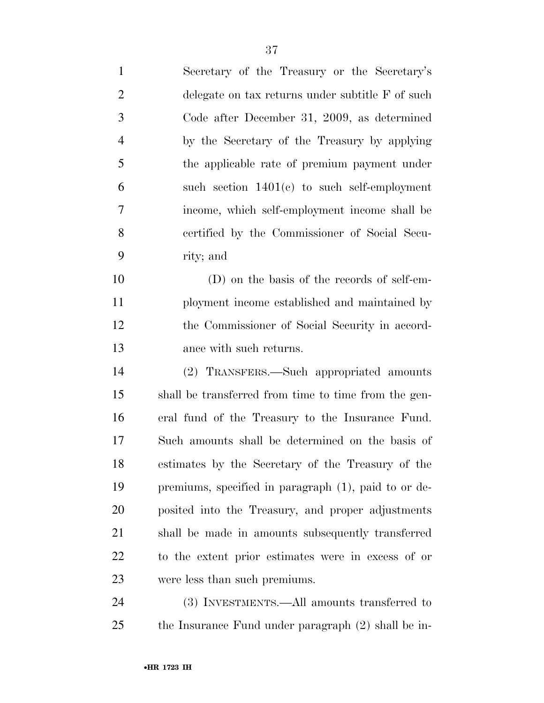| $\mathbf{1}$   | Secretary of the Treasury or the Secretary's         |
|----------------|------------------------------------------------------|
| $\overline{2}$ | delegate on tax returns under subtitle F of such     |
| 3              | Code after December 31, 2009, as determined          |
| $\overline{4}$ | by the Secretary of the Treasury by applying         |
| 5              | the applicable rate of premium payment under         |
| 6              | such section $1401(c)$ to such self-employment       |
| 7              | income, which self-employment income shall be        |
| 8              | certified by the Commissioner of Social Secu-        |
| 9              | rity; and                                            |
| 10             | (D) on the basis of the records of self-em-          |
| 11             | ployment income established and maintained by        |
| 12             | the Commissioner of Social Security in accord-       |
| 13             | ance with such returns.                              |
| 14             | (2) TRANSFERS.—Such appropriated amounts             |
| 15             | shall be transferred from time to time from the gen- |
| 16             | eral fund of the Treasury to the Insurance Fund.     |
| 17             | Such amounts shall be determined on the basis of     |
| 18             | estimates by the Secretary of the Treasury of the    |
| 19             | premiums, specified in paragraph (1), paid to or de- |
| 20             | posited into the Treasury, and proper adjustments    |
| 21             | shall be made in amounts subsequently transferred    |
| 22             | to the extent prior estimates were in excess of or   |
| 23             | were less than such premiums.                        |
| 24             | (3) INVESTMENTS.—All amounts transferred to          |
| 25             | the Insurance Fund under paragraph (2) shall be in-  |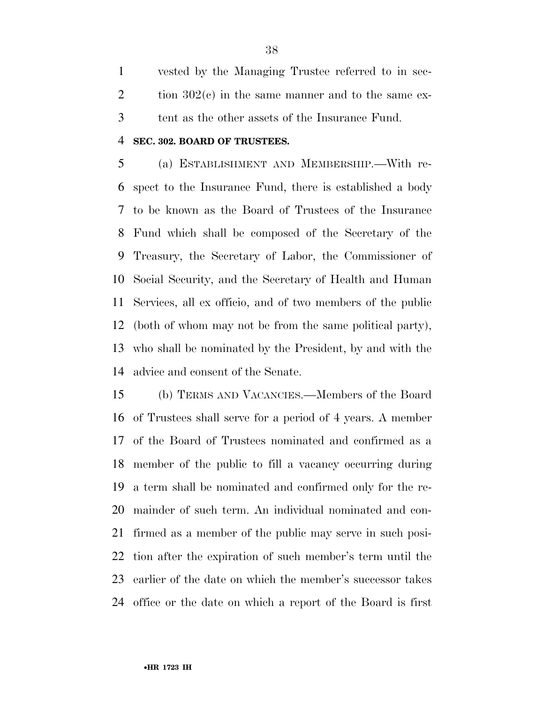vested by the Managing Trustee referred to in sec-2 tion  $302(e)$  in the same manner and to the same ex-tent as the other assets of the Insurance Fund.

#### **SEC. 302. BOARD OF TRUSTEES.**

 (a) ESTABLISHMENT AND MEMBERSHIP.—With re- spect to the Insurance Fund, there is established a body to be known as the Board of Trustees of the Insurance Fund which shall be composed of the Secretary of the Treasury, the Secretary of Labor, the Commissioner of Social Security, and the Secretary of Health and Human Services, all ex officio, and of two members of the public (both of whom may not be from the same political party), who shall be nominated by the President, by and with the advice and consent of the Senate.

 (b) TERMS AND VACANCIES.—Members of the Board of Trustees shall serve for a period of 4 years. A member of the Board of Trustees nominated and confirmed as a member of the public to fill a vacancy occurring during a term shall be nominated and confirmed only for the re- mainder of such term. An individual nominated and con- firmed as a member of the public may serve in such posi- tion after the expiration of such member's term until the earlier of the date on which the member's successor takes office or the date on which a report of the Board is first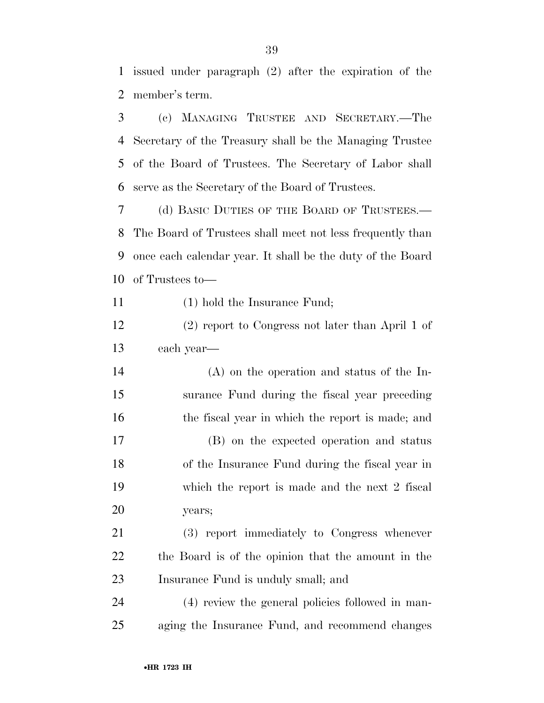issued under paragraph (2) after the expiration of the member's term.

 (c) MANAGING TRUSTEE AND SECRETARY.—The Secretary of the Treasury shall be the Managing Trustee of the Board of Trustees. The Secretary of Labor shall serve as the Secretary of the Board of Trustees.

 (d) BASIC DUTIES OF THE BOARD OF TRUSTEES.— The Board of Trustees shall meet not less frequently than once each calendar year. It shall be the duty of the Board of Trustees to—

11 (1) hold the Insurance Fund;

 (2) report to Congress not later than April 1 of each year—

 (A) on the operation and status of the In- surance Fund during the fiscal year preceding 16 the fiscal year in which the report is made; and (B) on the expected operation and status of the Insurance Fund during the fiscal year in which the report is made and the next 2 fiscal years;

 (3) report immediately to Congress whenever the Board is of the opinion that the amount in the Insurance Fund is unduly small; and

 (4) review the general policies followed in man-aging the Insurance Fund, and recommend changes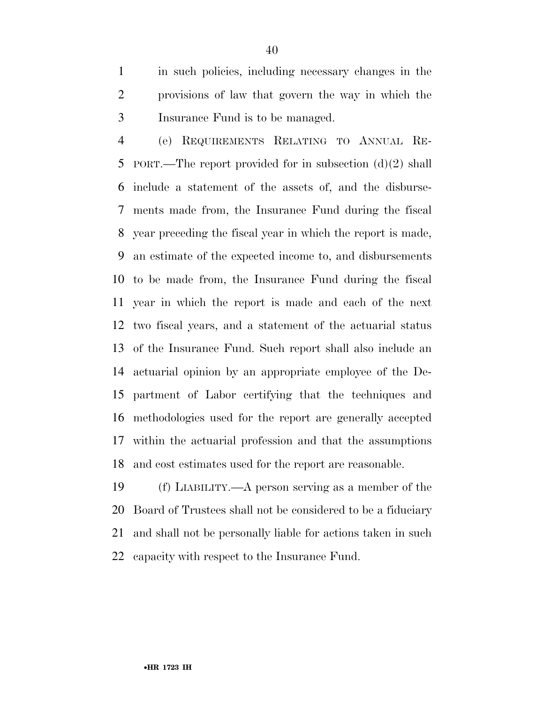in such policies, including necessary changes in the provisions of law that govern the way in which the Insurance Fund is to be managed.

 (e) REQUIREMENTS RELATING TO ANNUAL RE- PORT.—The report provided for in subsection (d)(2) shall include a statement of the assets of, and the disburse- ments made from, the Insurance Fund during the fiscal year preceding the fiscal year in which the report is made, an estimate of the expected income to, and disbursements to be made from, the Insurance Fund during the fiscal year in which the report is made and each of the next two fiscal years, and a statement of the actuarial status of the Insurance Fund. Such report shall also include an actuarial opinion by an appropriate employee of the De- partment of Labor certifying that the techniques and methodologies used for the report are generally accepted within the actuarial profession and that the assumptions and cost estimates used for the report are reasonable.

 (f) LIABILITY.—A person serving as a member of the Board of Trustees shall not be considered to be a fiduciary and shall not be personally liable for actions taken in such capacity with respect to the Insurance Fund.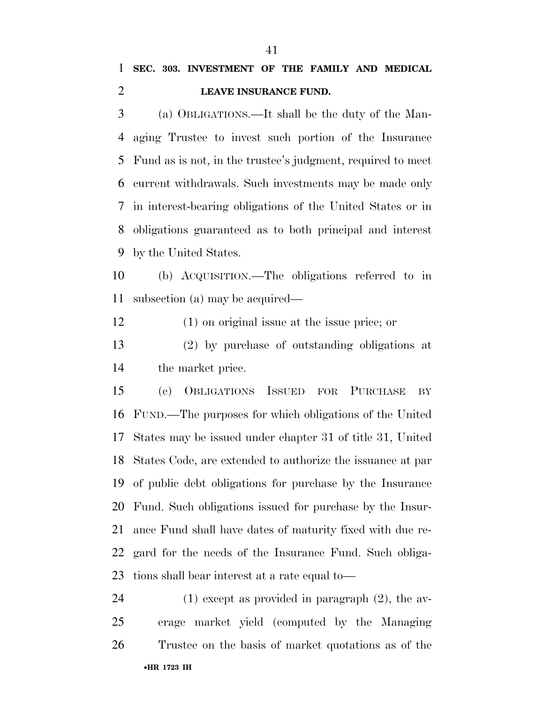### **SEC. 303. INVESTMENT OF THE FAMILY AND MEDICAL LEAVE INSURANCE FUND.**

 (a) OBLIGATIONS.—It shall be the duty of the Man- aging Trustee to invest such portion of the Insurance Fund as is not, in the trustee's judgment, required to meet current withdrawals. Such investments may be made only in interest-bearing obligations of the United States or in obligations guaranteed as to both principal and interest by the United States.

 (b) ACQUISITION.—The obligations referred to in subsection (a) may be acquired—

(1) on original issue at the issue price; or

 (2) by purchase of outstanding obligations at the market price.

 (c) OBLIGATIONS ISSUED FOR PURCHASE BY FUND.—The purposes for which obligations of the United States may be issued under chapter 31 of title 31, United States Code, are extended to authorize the issuance at par of public debt obligations for purchase by the Insurance Fund. Such obligations issued for purchase by the Insur- ance Fund shall have dates of maturity fixed with due re- gard for the needs of the Insurance Fund. Such obliga-tions shall bear interest at a rate equal to—

•**HR 1723 IH** (1) except as provided in paragraph (2), the av- erage market yield (computed by the Managing Trustee on the basis of market quotations as of the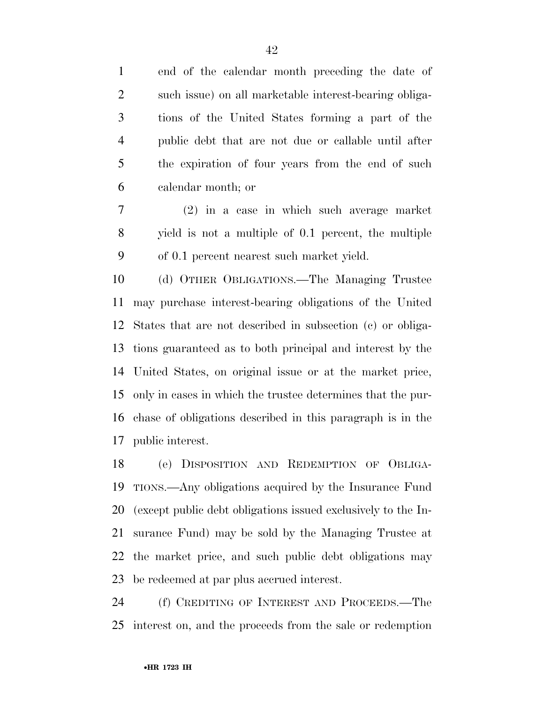end of the calendar month preceding the date of such issue) on all marketable interest-bearing obliga- tions of the United States forming a part of the public debt that are not due or callable until after the expiration of four years from the end of such calendar month; or

 (2) in a case in which such average market yield is not a multiple of 0.1 percent, the multiple of 0.1 percent nearest such market yield.

 (d) OTHER OBLIGATIONS.—The Managing Trustee may purchase interest-bearing obligations of the United States that are not described in subsection (c) or obliga- tions guaranteed as to both principal and interest by the United States, on original issue or at the market price, only in cases in which the trustee determines that the pur- chase of obligations described in this paragraph is in the public interest.

 (e) DISPOSITION AND REDEMPTION OF OBLIGA- TIONS.—Any obligations acquired by the Insurance Fund (except public debt obligations issued exclusively to the In- surance Fund) may be sold by the Managing Trustee at the market price, and such public debt obligations may be redeemed at par plus accrued interest.

 (f) CREDITING OF INTEREST AND PROCEEDS.—The interest on, and the proceeds from the sale or redemption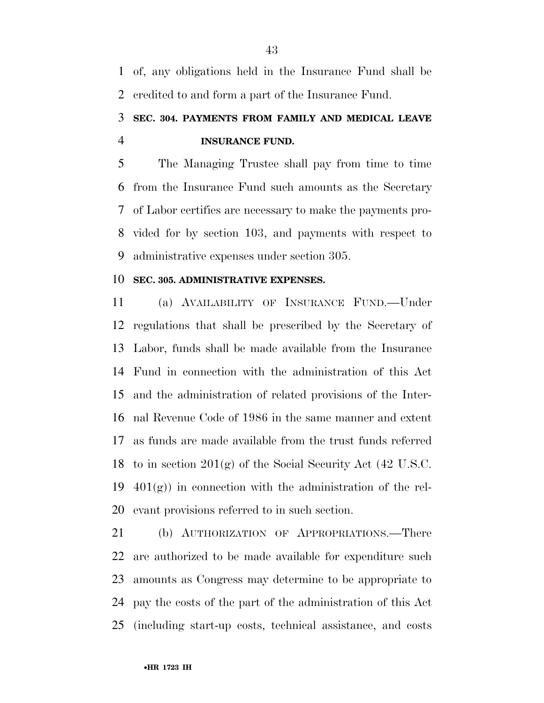of, any obligations held in the Insurance Fund shall be credited to and form a part of the Insurance Fund.

## **SEC. 304. PAYMENTS FROM FAMILY AND MEDICAL LEAVE INSURANCE FUND.**

 The Managing Trustee shall pay from time to time from the Insurance Fund such amounts as the Secretary of Labor certifies are necessary to make the payments pro- vided for by section 103, and payments with respect to administrative expenses under section 305.

#### **SEC. 305. ADMINISTRATIVE EXPENSES.**

 (a) AVAILABILITY OF INSURANCE FUND.—Under regulations that shall be prescribed by the Secretary of Labor, funds shall be made available from the Insurance Fund in connection with the administration of this Act and the administration of related provisions of the Inter- nal Revenue Code of 1986 in the same manner and extent as funds are made available from the trust funds referred to in section 201(g) of the Social Security Act (42 U.S.C.  $401(g)$  in connection with the administration of the rel-evant provisions referred to in such section.

 (b) AUTHORIZATION OF APPROPRIATIONS.—There are authorized to be made available for expenditure such amounts as Congress may determine to be appropriate to pay the costs of the part of the administration of this Act (including start-up costs, technical assistance, and costs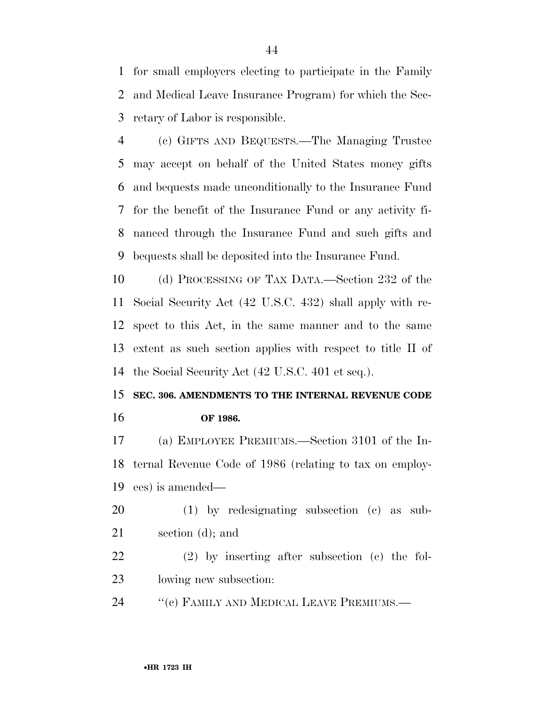for small employers electing to participate in the Family and Medical Leave Insurance Program) for which the Sec-retary of Labor is responsible.

 (c) GIFTS AND BEQUESTS.—The Managing Trustee may accept on behalf of the United States money gifts and bequests made unconditionally to the Insurance Fund for the benefit of the Insurance Fund or any activity fi- nanced through the Insurance Fund and such gifts and bequests shall be deposited into the Insurance Fund.

 (d) PROCESSING OF TAX DATA.—Section 232 of the Social Security Act (42 U.S.C. 432) shall apply with re- spect to this Act, in the same manner and to the same extent as such section applies with respect to title II of the Social Security Act (42 U.S.C. 401 et seq.).

### **SEC. 306. AMENDMENTS TO THE INTERNAL REVENUE CODE OF 1986.**

 (a) EMPLOYEE PREMIUMS.—Section 3101 of the In- ternal Revenue Code of 1986 (relating to tax on employ-ees) is amended—

- (1) by redesignating subsection (c) as sub-section (d); and
- (2) by inserting after subsection (c) the fol-lowing new subsection:
- 24 "(c) FAMILY AND MEDICAL LEAVE PREMIUMS.—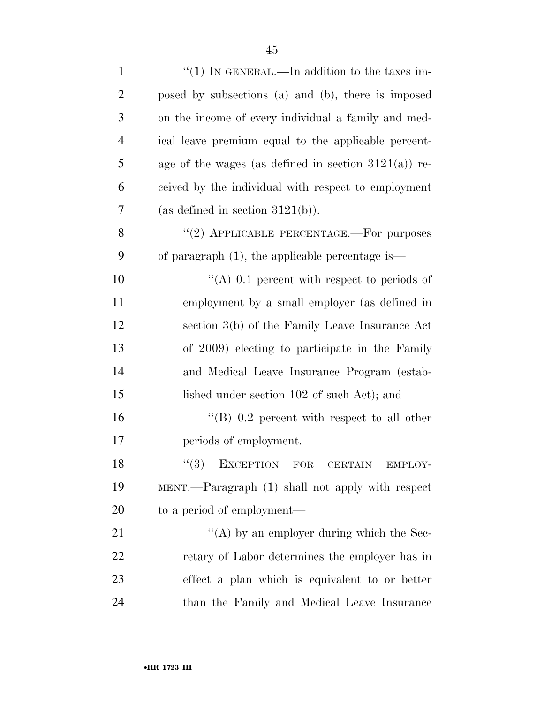| $\mathbf{1}$   | "(1) IN GENERAL.—In addition to the taxes im-           |
|----------------|---------------------------------------------------------|
| $\overline{2}$ | posed by subsections (a) and (b), there is imposed      |
| 3              | on the income of every individual a family and med-     |
| $\overline{4}$ | ical leave premium equal to the applicable percent-     |
| 5              | age of the wages (as defined in section $3121(a)$ ) re- |
| 6              | ceived by the individual with respect to employment     |
| 7              | (as defined in section $3121(b)$ ).                     |
| 8              | "(2) APPLICABLE PERCENTAGE.—For purposes                |
| 9              | of paragraph $(1)$ , the applicable percentage is—      |
| 10             | "(A) 0.1 percent with respect to periods of             |
| 11             | employment by a small employer (as defined in           |
| 12             | section 3(b) of the Family Leave Insurance Act          |
| 13             | of 2009) electing to participate in the Family          |
| 14             | and Medical Leave Insurance Program (estab-             |
| 15             | lished under section 102 of such Act); and              |
| 16             | "(B) $0.2$ percent with respect to all other            |
| 17             | periods of employment.                                  |
| 18             | (3)<br>EXCEPTION FOR<br><b>CERTAIN</b><br>EMPLOY-       |
| 19             | MENT.—Paragraph (1) shall not apply with respect        |
| 20             | to a period of employment—                              |
| 21             | "(A) by an employer during which the Sec-               |
| 22             | retary of Labor determines the employer has in          |
| 23             | effect a plan which is equivalent to or better          |
| 24             | than the Family and Medical Leave Insurance             |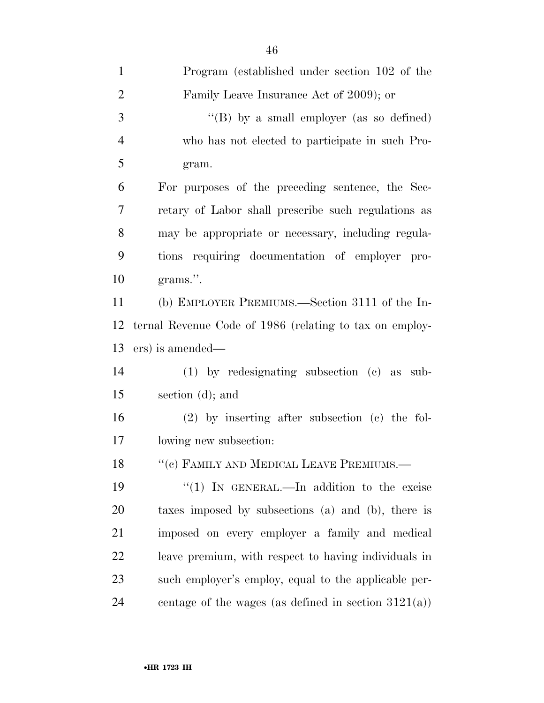| $\mathbf{1}$   | Program (established under section 102 of the           |
|----------------|---------------------------------------------------------|
| $\overline{2}$ | Family Leave Insurance Act of 2009); or                 |
| 3              | "(B) by a small employer (as so defined)                |
| $\overline{4}$ | who has not elected to participate in such Pro-         |
| 5              | gram.                                                   |
| 6              | For purposes of the preceding sentence, the Sec-        |
| $\overline{7}$ | retary of Labor shall prescribe such regulations as     |
| 8              | may be appropriate or necessary, including regula-      |
| 9              | tions requiring documentation of employer pro-          |
| 10             | grams.".                                                |
| 11             | (b) EMPLOYER PREMIUMS.—Section 3111 of the In-          |
| 12             | ternal Revenue Code of 1986 (relating to tax on employ- |
| 13             | ers) is amended—                                        |
| 14             | $(1)$ by redesignating subsection $(e)$ as sub-         |
| 15             | section (d); and                                        |
| 16             | $(2)$ by inserting after subsection $(e)$ the fol-      |
| 17             | lowing new subsection:                                  |
| 18             | "(c) FAMILY AND MEDICAL LEAVE PREMIUMS.-                |
| 19             | "(1) IN GENERAL.—In addition to the excise              |
| 20             | taxes imposed by subsections (a) and (b), there is      |
| 21             | imposed on every employer a family and medical          |
| 22             | leave premium, with respect to having individuals in    |
| 23             | such employer's employ, equal to the applicable per-    |
| 24             | centage of the wages (as defined in section $3121(a)$ ) |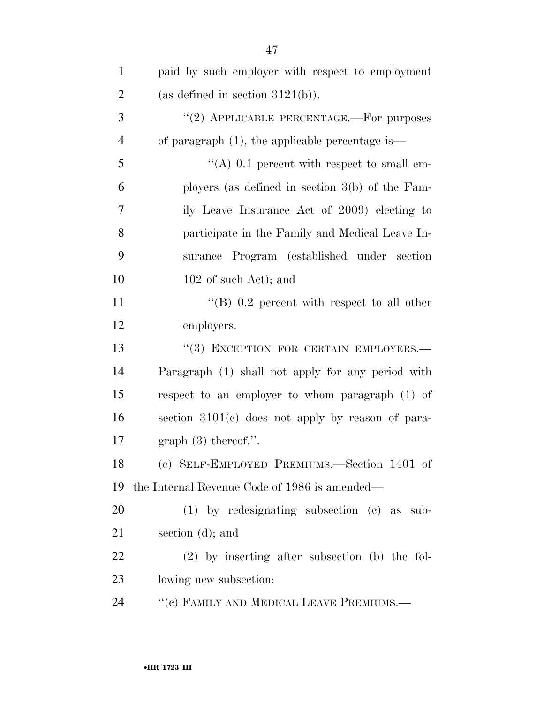| $\mathbf{1}$   | paid by such employer with respect to employment   |
|----------------|----------------------------------------------------|
| $\overline{2}$ | (as defined in section $3121(b)$ ).                |
| 3              | "(2) APPLICABLE PERCENTAGE.—For purposes           |
| $\overline{4}$ | of paragraph $(1)$ , the applicable percentage is— |
| 5              | "(A) $0.1$ percent with respect to small em-       |
| 6              | ployers (as defined in section $3(b)$ of the Fam-  |
| 7              | ily Leave Insurance Act of 2009) electing to       |
| 8              | participate in the Family and Medical Leave In-    |
| 9              | surance Program (established under section         |
| 10             | $102$ of such Act); and                            |
| 11             | "(B) $0.2$ percent with respect to all other       |
| 12             | employers.                                         |
| 13             | "(3) EXCEPTION FOR CERTAIN EMPLOYERS.-             |
| 14             | Paragraph (1) shall not apply for any period with  |
| 15             | respect to an employer to whom paragraph (1) of    |
| 16             | section 3101(c) does not apply by reason of para-  |
| 17             | graph $(3)$ thereof.".                             |
| 18             | (c) SELF-EMPLOYED PREMIUMS.—Section 1401 of        |
| 19             | the Internal Revenue Code of 1986 is amended—      |
| 20             | $(1)$ by redesignating subsection $(e)$ as sub-    |
| 21             | section $(d)$ ; and                                |
| 22             | $(2)$ by inserting after subsection (b) the fol-   |
| 23             | lowing new subsection:                             |
| 24             | "(c) FAMILY AND MEDICAL LEAVE PREMIUMS.-           |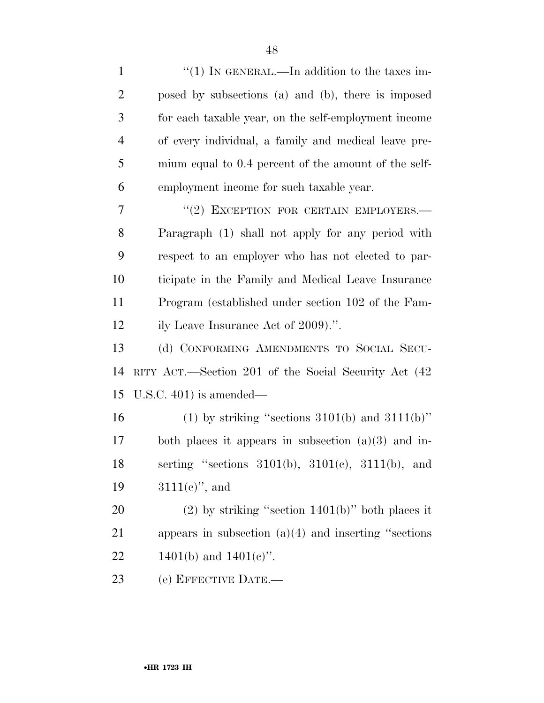| $\mathbf{1}$   | "(1) IN GENERAL.—In addition to the taxes im-             |
|----------------|-----------------------------------------------------------|
| $\overline{2}$ | posed by subsections (a) and (b), there is imposed        |
| 3              | for each taxable year, on the self-employment income      |
| 4              | of every individual, a family and medical leave pre-      |
| 5              | mium equal to 0.4 percent of the amount of the self-      |
| 6              | employment income for such taxable year.                  |
| 7              | "(2) EXCEPTION FOR CERTAIN EMPLOYERS.-                    |
| 8              | Paragraph (1) shall not apply for any period with         |
| 9              | respect to an employer who has not elected to par-        |
| 10             | ticipate in the Family and Medical Leave Insurance        |
| 11             | Program (established under section 102 of the Fam-        |
| 12             | ily Leave Insurance Act of 2009).".                       |
| 13             | (d) CONFORMING AMENDMENTS TO SOCIAL SECU-                 |
| 14             | RITY ACT.—Section 201 of the Social Security Act (42)     |
| 15             | U.S.C. $401$ ) is amended—                                |
| 16             | (1) by striking "sections $3101(b)$ and $3111(b)$ "       |
| 17             | both places it appears in subsection $(a)(3)$ and in-     |
| 18             | serting "sections $3101(b)$ , $3101(c)$ , $3111(b)$ , and |
| 19             | $3111(e)$ , and                                           |
| 20             | $(2)$ by striking "section 1401(b)" both places it        |
| 21             | appears in subsection $(a)(4)$ and inserting "sections"   |
| 22             | 1401(b) and $1401(e)$ ".                                  |
|                |                                                           |

(e) EFFECTIVE DATE.—